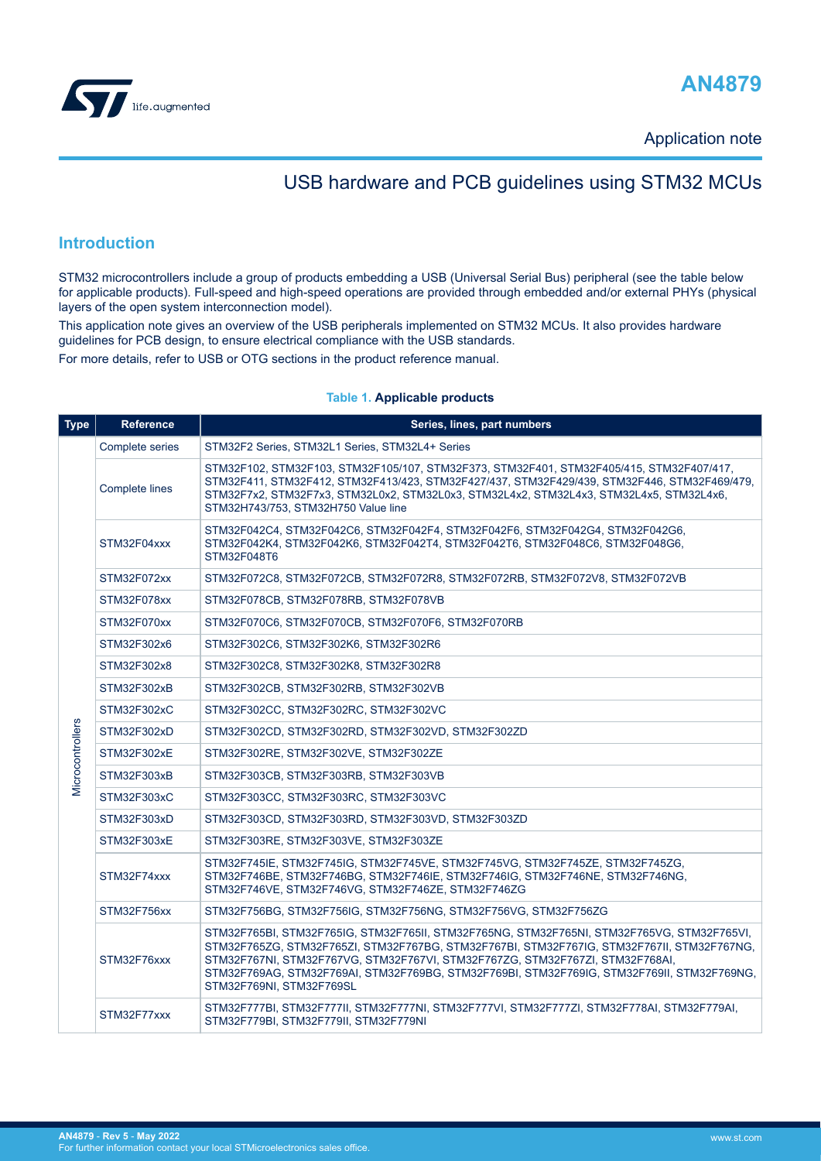<span id="page-0-0"></span>



Application note

## USB hardware and PCB guidelines using STM32 MCUs

### **Introduction**

STM32 microcontrollers include a group of products embedding a USB (Universal Serial Bus) peripheral (see the table below for applicable products). Full-speed and high-speed operations are provided through embedded and/or external PHYs (physical layers of the open system interconnection model).

This application note gives an overview of the USB peripherals implemented on STM32 MCUs. It also provides hardware guidelines for PCB design, to ensure electrical compliance with the USB standards.

For more details, refer to USB or OTG sections in the product reference manual.

#### **Table 1. Applicable products**

| <b>Type</b>      | <b>Reference</b> | Series, lines, part numbers                                                                                                                                                                                                                                                                                                                                                                         |
|------------------|------------------|-----------------------------------------------------------------------------------------------------------------------------------------------------------------------------------------------------------------------------------------------------------------------------------------------------------------------------------------------------------------------------------------------------|
|                  | Complete series  | STM32F2 Series, STM32L1 Series, STM32L4+ Series                                                                                                                                                                                                                                                                                                                                                     |
|                  | Complete lines   | STM32F102, STM32F103, STM32F105/107, STM32F373, STM32F401, STM32F405/415, STM32F407/417,<br>STM32F411, STM32F412, STM32F413/423, STM32F427/437, STM32F429/439, STM32F446, STM32F469/479,<br>STM32F7x2, STM32F7x3, STM32L0x2, STM32L0x3, STM32L4x2, STM32L4x3, STM32L4x5, STM32L4x6,<br>STM32H743/753, STM32H750 Value line                                                                          |
|                  | STM32F04xxx      | STM32F042C4, STM32F042C6, STM32F042F4, STM32F042F6, STM32F042G4, STM32F042G6,<br>STM32F042K4, STM32F042K6, STM32F042T4, STM32F042T6, STM32F048C6, STM32F048G6,<br>STM32F048T6                                                                                                                                                                                                                       |
|                  | STM32F072xx      | STM32F072C8, STM32F072CB, STM32F072R8, STM32F072RB, STM32F072V8, STM32F072VB                                                                                                                                                                                                                                                                                                                        |
|                  | STM32F078xx      | STM32F078CB, STM32F078RB, STM32F078VB                                                                                                                                                                                                                                                                                                                                                               |
|                  | STM32F070xx      | STM32F070C6, STM32F070CB, STM32F070F6, STM32F070RB                                                                                                                                                                                                                                                                                                                                                  |
|                  | STM32F302x6      | STM32F302C6, STM32F302K6, STM32F302R6                                                                                                                                                                                                                                                                                                                                                               |
|                  | STM32F302x8      | STM32F302C8, STM32F302K8, STM32F302R8                                                                                                                                                                                                                                                                                                                                                               |
|                  | STM32F302xB      | STM32F302CB, STM32F302RB, STM32F302VB                                                                                                                                                                                                                                                                                                                                                               |
|                  | STM32F302xC      | STM32F302CC, STM32F302RC, STM32F302VC                                                                                                                                                                                                                                                                                                                                                               |
| Microcontrollers | STM32F302xD      | STM32F302CD, STM32F302RD, STM32F302VD, STM32F302ZD                                                                                                                                                                                                                                                                                                                                                  |
|                  | STM32F302xE      | STM32F302RE, STM32F302VE, STM32F302ZE                                                                                                                                                                                                                                                                                                                                                               |
|                  | STM32F303xB      | STM32F303CB, STM32F303RB, STM32F303VB                                                                                                                                                                                                                                                                                                                                                               |
|                  | STM32F303xC      | STM32F303CC, STM32F303RC, STM32F303VC                                                                                                                                                                                                                                                                                                                                                               |
|                  | STM32F303xD      | STM32F303CD, STM32F303RD, STM32F303VD, STM32F303ZD                                                                                                                                                                                                                                                                                                                                                  |
|                  | STM32F303xE      | STM32F303RE, STM32F303VE, STM32F303ZE                                                                                                                                                                                                                                                                                                                                                               |
|                  | STM32F74xxx      | STM32F745IE, STM32F745IG, STM32F745VE, STM32F745VG, STM32F745ZE, STM32F745ZG,<br>STM32F746BE, STM32F746BG, STM32F746IE, STM32F746IG, STM32F746NE, STM32F746NG,<br>STM32F746VE, STM32F746VG, STM32F746ZE, STM32F746ZG                                                                                                                                                                                |
|                  | STM32F756xx      | STM32F756BG, STM32F756IG, STM32F756NG, STM32F756VG, STM32F756ZG                                                                                                                                                                                                                                                                                                                                     |
|                  | STM32F76xxx      | STM32F765BI, STM32F765IG, STM32F765II, STM32F765NG, STM32F765NI, STM32F765VG, STM32F765VI,<br>STM32F765ZG, STM32F765ZI, STM32F767BG, STM32F767BI, STM32F767IG, STM32F767II, STM32F767NG,<br>STM32F767NI, STM32F767VG, STM32F767VI, STM32F767ZG, STM32F767ZI, STM32F768AI,<br>STM32F769AG, STM32F769AI, STM32F769BG, STM32F769BI, STM32F769IG, STM32F769II, STM32F769NG,<br>STM32F769NI, STM32F769SL |
|                  | STM32F77xxx      | STM32F777BI, STM32F777II, STM32F777NI, STM32F777VI, STM32F777ZI, STM32F778AI, STM32F779AI,<br>STM32F779BI, STM32F779II, STM32F779NI                                                                                                                                                                                                                                                                 |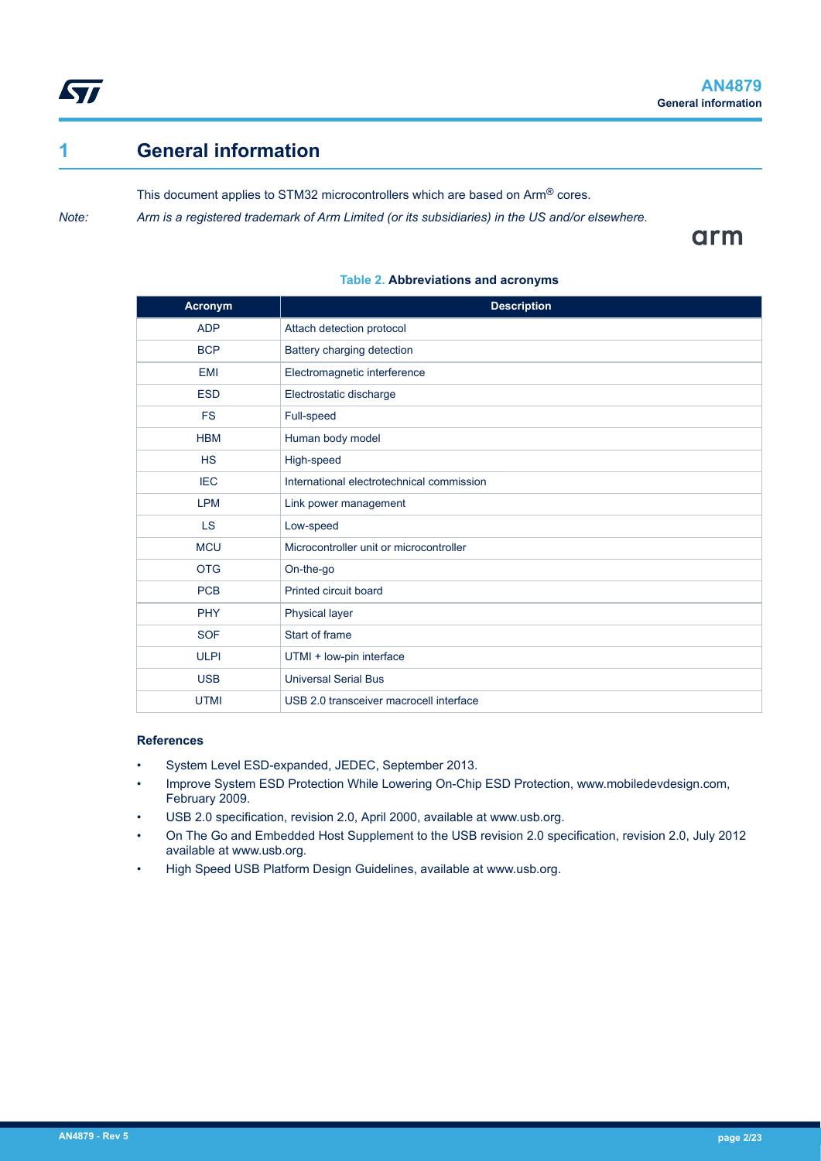<span id="page-1-0"></span>

## **1 General information**

This document applies to STM32 microcontrollers which are based on Arm® cores.

*Note: Arm is a registered trademark of Arm Limited (or its subsidiaries) in the US and/or elsewhere.*

arm

| Acronym     | <b>Description</b>                        |
|-------------|-------------------------------------------|
| <b>ADP</b>  | Attach detection protocol                 |
| <b>BCP</b>  | Battery charging detection                |
| <b>EMI</b>  | Electromagnetic interference              |
| <b>ESD</b>  | Electrostatic discharge                   |
| <b>FS</b>   | Full-speed                                |
| <b>HBM</b>  | Human body model                          |
| <b>HS</b>   | High-speed                                |
| <b>IEC</b>  | International electrotechnical commission |
| <b>LPM</b>  | Link power management                     |
| <b>LS</b>   | Low-speed                                 |
| <b>MCU</b>  | Microcontroller unit or microcontroller   |
| <b>OTG</b>  | On-the-go                                 |
| <b>PCB</b>  | Printed circuit board                     |
| <b>PHY</b>  | Physical layer                            |
| <b>SOF</b>  | Start of frame                            |
| <b>ULPI</b> | UTMI + low-pin interface                  |
| <b>USB</b>  | <b>Universal Serial Bus</b>               |
| <b>UTMI</b> | USB 2.0 transceiver macrocell interface   |

### **Table 2. Abbreviations and acronyms**

#### **References**

- System Level ESD-expanded, JEDEC, September 2013.
- Improve System ESD Protection While Lowering On-Chip ESD Protection, www.mobiledevdesign.com, February 2009.
- USB 2.0 specification, revision 2.0, April 2000, available at www.usb.org.
- On The Go and Embedded Host Supplement to the USB revision 2.0 specification, revision 2.0, July 2012 available at www.usb.org.
- High Speed USB Platform Design Guidelines, available at www.usb.org.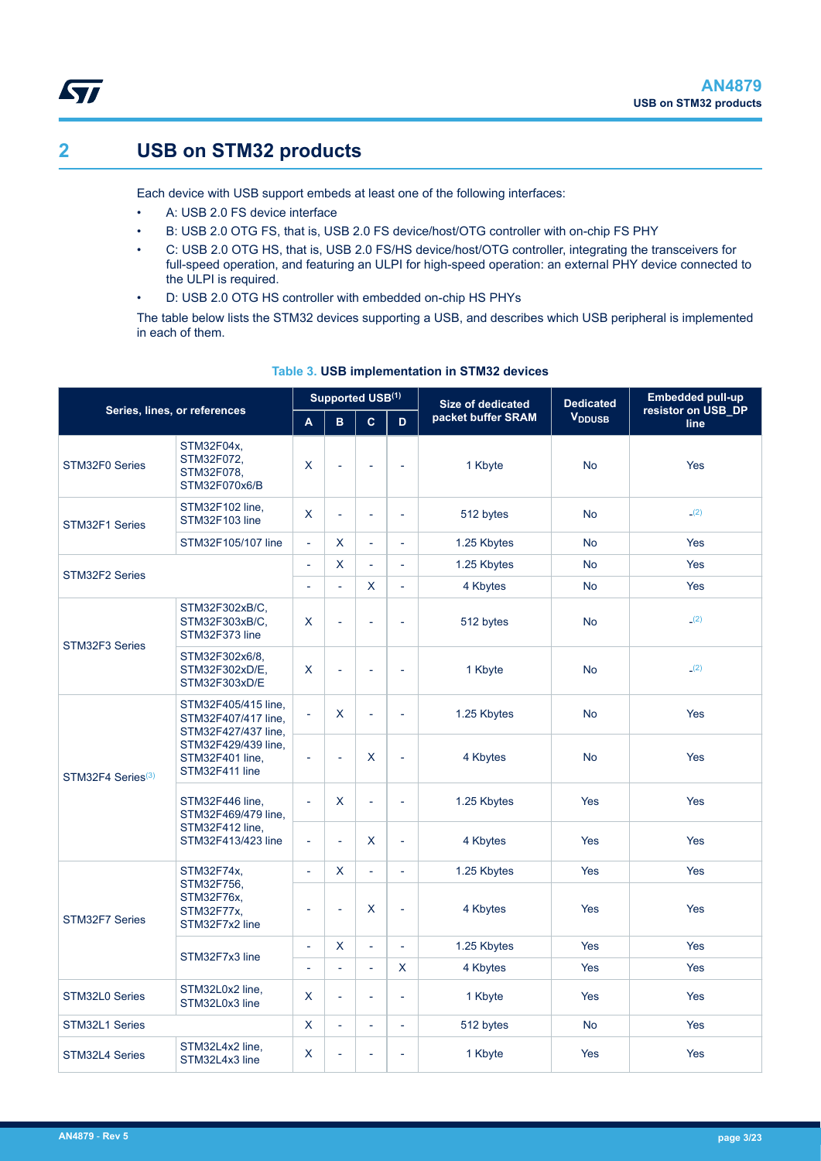<span id="page-2-0"></span>

## **2 USB on STM32 products**

Each device with USB support embeds at least one of the following interfaces:

- A: USB 2.0 FS device interface
	- B: USB 2.0 OTG FS, that is, USB 2.0 FS device/host/OTG controller with on-chip FS PHY
- C: USB 2.0 OTG HS, that is, USB 2.0 FS/HS device/host/OTG controller, integrating the transceivers for full-speed operation, and featuring an ULPI for high-speed operation: an external PHY device connected to the ULPI is required.
- D: USB 2.0 OTG HS controller with embedded on-chip HS PHYs

The table below lists the STM32 devices supporting a USB, and describes which USB peripheral is implemented in each of them.

| Series, lines, or references |                                                                                                                               | Supported USB(1)         |                          |                          |                | <b>Size of dedicated</b> | <b>Dedicated</b>          | <b>Embedded pull-up</b><br>resistor on USB_DP |  |
|------------------------------|-------------------------------------------------------------------------------------------------------------------------------|--------------------------|--------------------------|--------------------------|----------------|--------------------------|---------------------------|-----------------------------------------------|--|
|                              |                                                                                                                               | A                        | B.                       | $\overline{c}$           | D              | packet buffer SRAM       | <b>V</b> <sub>DDUSB</sub> | line                                          |  |
| STM32F0 Series               | STM32F04x,<br>STM32F072,<br>STM32F078,<br>STM32F070x6/B                                                                       | X                        | $\overline{a}$           | L,                       | L,             | 1 Kbyte                  | <b>No</b>                 | Yes                                           |  |
| STM32F1 Series               | STM32F102 line,<br>STM32F103 line                                                                                             | X                        | L.                       | L                        | L,             | 512 bytes                | <b>No</b>                 | (2)                                           |  |
|                              | STM32F105/107 line                                                                                                            | ä,                       | X.                       | ÷,                       | L,             | 1.25 Kbytes              | <b>No</b>                 | Yes                                           |  |
| STM32F2 Series               |                                                                                                                               | $\overline{a}$           | X.                       | $\overline{a}$           | L,             | 1.25 Kbytes              | <b>No</b>                 | <b>Yes</b>                                    |  |
|                              |                                                                                                                               | L,                       | L,                       | X                        | L,             | 4 Kbytes                 | <b>No</b>                 | <b>Yes</b>                                    |  |
|                              | STM32F302xB/C,<br>STM32F303xB/C,<br>STM32F373 line                                                                            | X                        | L,                       | L.                       | L,             | 512 bytes                | <b>No</b>                 | (2)                                           |  |
| STM32F3 Series               | STM32F302x6/8,<br>STM32F302xD/E,<br>STM32F303xD/E                                                                             | X                        | L,                       | $\overline{\phantom{a}}$ | L,             | 1 Kbyte                  | <b>No</b>                 | (2)                                           |  |
|                              | STM32F405/415 line.<br>STM32F407/417 line,<br>STM32F427/437 line,<br>STM32F429/439 line,<br>STM32F401 line,<br>STM32F411 line | $\Box$                   | X.                       | ä,                       | L,             | 1.25 Kbytes              | <b>No</b>                 | Yes                                           |  |
| STM32F4 Series $(3)$         |                                                                                                                               | ÷,                       | $\overline{a}$           | X                        | L,             | 4 Kbytes                 | <b>No</b>                 | Yes                                           |  |
|                              | STM32F446 line,<br>STM32F469/479 line,<br>STM32F412 line,<br>STM32F413/423 line                                               | ä,                       | X.                       | L                        | L.             | 1.25 Kbytes              | <b>Yes</b>                | Yes                                           |  |
|                              |                                                                                                                               | $\overline{\phantom{a}}$ | $\overline{\phantom{a}}$ | X                        | L,             | 4 Kbytes                 | Yes                       | Yes                                           |  |
|                              | STM32F74x,                                                                                                                    | $\Box$                   | X.                       | L.                       | ÷,             | 1.25 Kbytes              | <b>Yes</b>                | <b>Yes</b>                                    |  |
| STM32F7 Series               | STM32F756,<br>STM32F76x,<br>STM32F77x,<br>STM32F7x2 line                                                                      | ä,                       | $\overline{\phantom{a}}$ | X                        | L,             | 4 Kbytes                 | Yes                       | Yes                                           |  |
|                              | STM32F7x3 line                                                                                                                | ä,                       | X.                       | L,                       | $\overline{a}$ | 1.25 Kbytes              | Yes                       | <b>Yes</b>                                    |  |
|                              |                                                                                                                               | ä,                       | L,                       | L.                       | X              | 4 Kbytes                 | Yes                       | Yes                                           |  |
| STM32L0 Series               | STM32L0x2 line,<br>STM32L0x3 line                                                                                             | X                        | ÷,                       | L,                       | ÷,             | 1 Kbyte                  | Yes                       | Yes                                           |  |
| STM32L1 Series               |                                                                                                                               | $\mathsf{X}$             | L,                       | L,                       | L,             | 512 bytes                | <b>No</b>                 | <b>Yes</b>                                    |  |
| STM32L4 Series               | STM32L4x2 line,<br>STM32L4x3 line                                                                                             | X                        | L,                       | L,                       | L,             | 1 Kbyte                  | <b>Yes</b>                | Yes                                           |  |

#### **Table 3. USB implementation in STM32 devices**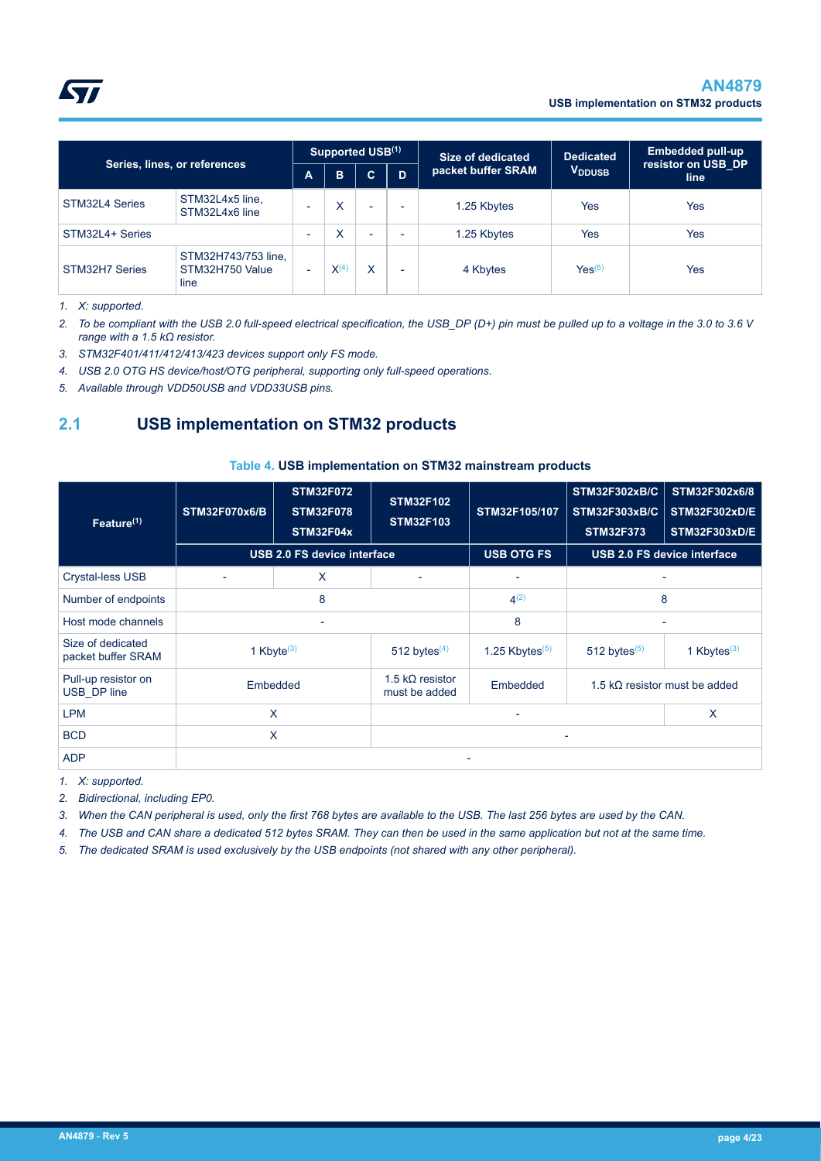

| Series, lines, or references |                                                |                          | Supported USB(1)   |                          |                          | Size of dedicated  | <b>Dedicated</b>          | <b>Embedded pull-up</b><br>resistor on USB DP |
|------------------------------|------------------------------------------------|--------------------------|--------------------|--------------------------|--------------------------|--------------------|---------------------------|-----------------------------------------------|
|                              |                                                |                          | в                  | C.                       | D                        | packet buffer SRAM | <b>V</b> <sub>DDUSB</sub> | line                                          |
| STM32L4 Series               | STM32L4x5 line,<br>STM32L4x6 line              | $\overline{\phantom{0}}$ | X                  | $\overline{\phantom{a}}$ | $\overline{\phantom{0}}$ | 1.25 Kbytes        | Yes                       | Yes                                           |
| STM32L4+ Series              |                                                | $\overline{\phantom{0}}$ | x                  | $\overline{\phantom{a}}$ | $\overline{\phantom{0}}$ | 1.25 Kbytes        | Yes                       | <b>Yes</b>                                    |
| STM32H7 Series               | STM32H743/753 line,<br>STM32H750 Value<br>line | ۰                        | $\mathsf{X}^{(4)}$ | x                        | $\overline{\phantom{0}}$ | 4 Kbytes           | Yes <sup>(5)</sup>        | Yes                                           |

*1. X: supported.*

<span id="page-3-0"></span>ST

*2. To be compliant with the USB 2.0 full-speed electrical specification, the USB\_DP (D+) pin must be pulled up to a voltage in the 3.0 to 3.6 V range with a 1.5 kΩ resistor.*

*3. STM32F401/411/412/413/423 devices support only FS mode.*

*4. USB 2.0 OTG HS device/host/OTG peripheral, supporting only full-speed operations.*

*5. Available through VDD50USB and VDD33USB pins.*

## **2.1 USB implementation on STM32 products**

#### **Table 4. USB implementation on STM32 mainstream products**

| Feature $(1)$                           | <b>STM32F070x6/B</b>      | <b>STM32F072</b><br><b>STM32F078</b><br>STM32F04x |                                          | STM32F105/107            | <b>STM32F302xB/C</b><br><b>STM32F303xB/C</b><br><b>STM32F373</b> | STM32F302x6/8<br><b>STM32F302xD/E</b><br><b>STM32F303xD/E</b> |  |
|-----------------------------------------|---------------------------|---------------------------------------------------|------------------------------------------|--------------------------|------------------------------------------------------------------|---------------------------------------------------------------|--|
|                                         |                           | <b>USB 2.0 FS device interface</b>                |                                          | <b>USB OTG FS</b>        | <b>USB 2.0 FS device interface</b>                               |                                                               |  |
| <b>Crystal-less USB</b>                 |                           | X                                                 | $\overline{\phantom{a}}$                 | $\overline{\phantom{0}}$ | ٠                                                                |                                                               |  |
| Number of endpoints                     |                           | 8                                                 |                                          | $4^{(2)}$                | 8                                                                |                                                               |  |
| Host mode channels                      |                           |                                                   |                                          | 8                        |                                                                  |                                                               |  |
| Size of dedicated<br>packet buffer SRAM | 1 Kbyte $(3)$             |                                                   | 512 bytes $(4)$                          | 1.25 Kbytes $(5)$        | 512 bytes $(5)$                                                  | 1 Kbytes $(3)$                                                |  |
| Pull-up resistor on<br>USB DP line      |                           | Embedded                                          | 1.5 k $\Omega$ resistor<br>must be added | Embedded                 | 1.5 k $\Omega$ resistor must be added                            |                                                               |  |
| <b>LPM</b>                              | $\boldsymbol{\mathsf{X}}$ |                                                   |                                          |                          |                                                                  | X                                                             |  |
| <b>BCD</b>                              | X                         |                                                   |                                          |                          |                                                                  |                                                               |  |
| <b>ADP</b>                              |                           |                                                   |                                          |                          |                                                                  |                                                               |  |

*1. X: supported.*

*2. Bidirectional, including EP0.*

*3. When the CAN peripheral is used, only the first 768 bytes are available to the USB. The last 256 bytes are used by the CAN.*

*4. The USB and CAN share a dedicated 512 bytes SRAM. They can then be used in the same application but not at the same time.*

*5. The dedicated SRAM is used exclusively by the USB endpoints (not shared with any other peripheral).*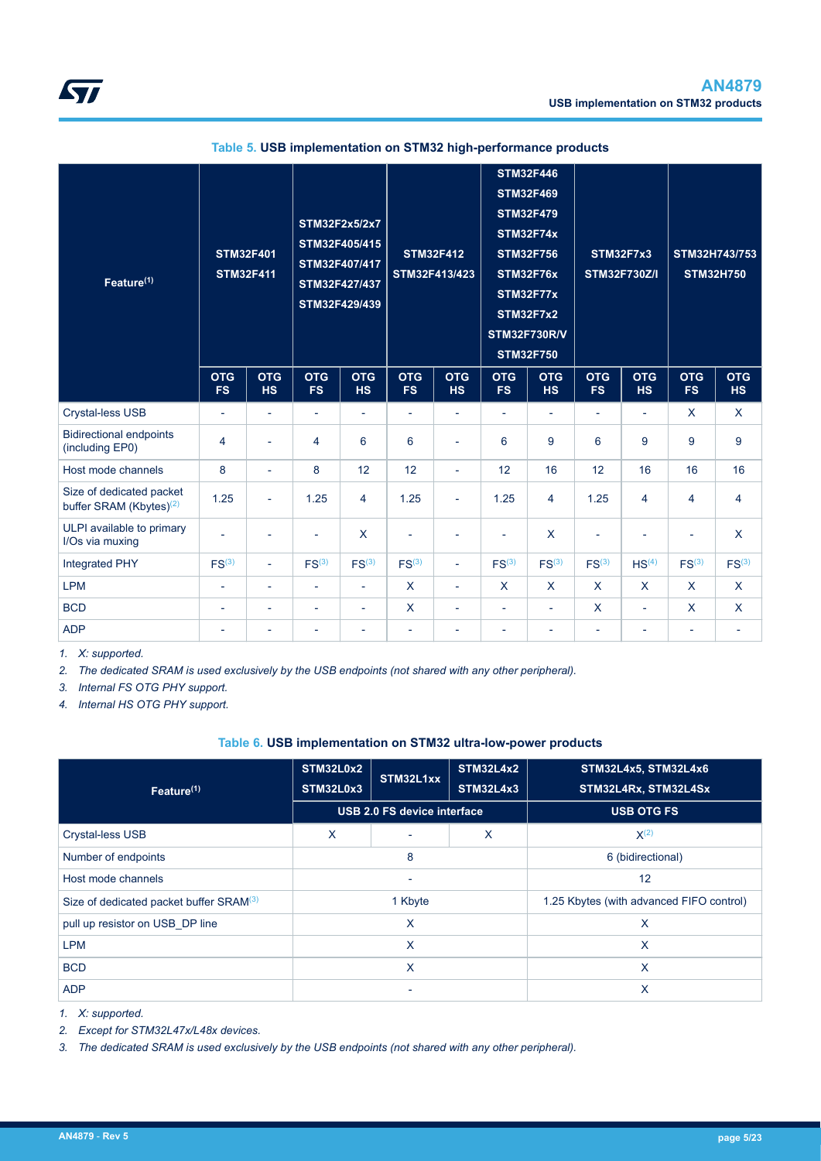<span id="page-4-0"></span>

| Feature <sup>(1)</sup>                                          |                          | <b>STM32F446</b><br><b>STM32F469</b><br><b>STM32F479</b><br>STM32F2x5/2x7<br><b>STM32F74x</b><br>STM32F405/415<br><b>STM32F412</b><br><b>STM32F401</b><br><b>STM32F756</b><br>STM32F407/417<br><b>STM32F411</b><br>STM32F413/423<br><b>STM32F76x</b><br>STM32F427/437<br><b>STM32F77x</b><br>STM32F429/439<br><b>STM32F7x2</b><br><b>STM32F750</b> |                          |                          |                          | <b>STM32F730R/V</b>      |                          |                          | STM32F7x3<br><b>STM32F730Z/I</b> |                          | STM32H743/753<br><b>STM32H750</b> |                         |
|-----------------------------------------------------------------|--------------------------|----------------------------------------------------------------------------------------------------------------------------------------------------------------------------------------------------------------------------------------------------------------------------------------------------------------------------------------------------|--------------------------|--------------------------|--------------------------|--------------------------|--------------------------|--------------------------|----------------------------------|--------------------------|-----------------------------------|-------------------------|
|                                                                 | <b>OTG</b><br><b>FS</b>  | <b>OTG</b><br><b>HS</b>                                                                                                                                                                                                                                                                                                                            | <b>OTG</b><br><b>FS</b>  | <b>OTG</b><br><b>HS</b>  | <b>OTG</b><br><b>FS</b>  | <b>OTG</b><br><b>HS</b>  | <b>OTG</b><br><b>FS</b>  | <b>OTG</b><br><b>HS</b>  | <b>OTG</b><br><b>FS</b>          | <b>OTG</b><br><b>HS</b>  | <b>OTG</b><br><b>FS</b>           | <b>OTG</b><br><b>HS</b> |
| Crystal-less USB                                                | $\overline{\phantom{a}}$ | $\overline{\phantom{a}}$                                                                                                                                                                                                                                                                                                                           | $\overline{\phantom{a}}$ | $\overline{\phantom{a}}$ | $\overline{\phantom{a}}$ | $\overline{\phantom{a}}$ | $\overline{\phantom{a}}$ | $\overline{\phantom{a}}$ | $\overline{\phantom{a}}$         | $\overline{\phantom{a}}$ | $\sf X$                           | $\sf X$                 |
| <b>Bidirectional endpoints</b><br>(including EP0)               | 4                        | $\overline{\phantom{a}}$                                                                                                                                                                                                                                                                                                                           | 4                        | 6                        | 6                        | $\overline{\phantom{a}}$ | 6                        | 9                        | 6                                | 9                        | 9                                 | 9                       |
| Host mode channels                                              | 8                        | $\overline{\phantom{a}}$                                                                                                                                                                                                                                                                                                                           | 8                        | 12                       | 12                       | $\overline{\phantom{a}}$ | 12                       | 16                       | 12                               | 16                       | 16                                | 16                      |
| Size of dedicated packet<br>buffer SRAM (Kbytes) <sup>(2)</sup> | 1.25                     | ÷.                                                                                                                                                                                                                                                                                                                                                 | 1.25                     | $\overline{4}$           | 1.25                     | $\blacksquare$           | 1.25                     | $\overline{4}$           | 1.25                             | 4                        | 4                                 | 4                       |
| ULPI available to primary<br>I/Os via muxing                    |                          | $\overline{\phantom{a}}$                                                                                                                                                                                                                                                                                                                           | ÷,                       | X                        | $\overline{\phantom{a}}$ | $\overline{a}$           | ÷,                       | $\sf X$                  | ÷,                               |                          | ÷,                                | $\sf X$                 |
| Integrated PHY                                                  | FS <sup>(3)</sup>        | ÷.                                                                                                                                                                                                                                                                                                                                                 | FS <sup>(3)</sup>        | FS <sup>(3)</sup>        | FS <sup>(3)</sup>        | $\overline{\phantom{a}}$ | FS <sup>(3)</sup>        | FS <sup>(3)</sup>        | FS <sup>(3)</sup>                | HS <sup>(4)</sup>        | FS <sup>(3)</sup>                 | FS <sup>(3)</sup>       |
| <b>LPM</b>                                                      | $\overline{\phantom{a}}$ | $\overline{\phantom{a}}$                                                                                                                                                                                                                                                                                                                           | $\overline{\phantom{a}}$ | $\overline{\phantom{a}}$ | $\mathsf{x}$             | $\overline{\phantom{a}}$ | $\mathsf{X}$             | $\sf X$                  | $\mathsf{x}$                     | $\mathsf{X}$             | $\mathsf{x}$                      | $\mathsf{X}$            |
| <b>BCD</b>                                                      | $\overline{\phantom{a}}$ | $\overline{\phantom{a}}$                                                                                                                                                                                                                                                                                                                           | $\overline{\phantom{a}}$ | $\overline{\phantom{a}}$ | X                        | $\overline{\phantom{a}}$ | $\overline{\phantom{a}}$ | $\overline{\phantom{a}}$ | $\mathsf{X}$                     | $\sim$                   | $\mathsf{X}$                      | $\mathsf{X}$            |
| <b>ADP</b>                                                      | $\overline{a}$           | $\overline{\phantom{a}}$                                                                                                                                                                                                                                                                                                                           | ٠                        | $\overline{\phantom{a}}$ | $\overline{\phantom{a}}$ | $\overline{\phantom{a}}$ | ۰                        | ٠                        | $\overline{a}$                   | $\overline{\phantom{a}}$ | ÷,                                |                         |

### **Table 5. USB implementation on STM32 high-performance products**

*1. X: supported.*

*2. The dedicated SRAM is used exclusively by the USB endpoints (not shared with any other peripheral).*

*3. Internal FS OTG PHY support.*

*4. Internal HS OTG PHY support.*

#### **Table 6. USB implementation on STM32 ultra-low-power products**

| Feature <sup>(1)</sup>                              | STM32L0x2<br>STM32L1xx<br>STM32L0x3 |                                    | <b>STM32L4x2</b><br><b>STM32L4x3</b> | <b>STM32L4x5, STM32L4x6</b><br>STM32L4Rx, STM32L4Sx |  |  |
|-----------------------------------------------------|-------------------------------------|------------------------------------|--------------------------------------|-----------------------------------------------------|--|--|
|                                                     |                                     | <b>USB 2.0 FS device interface</b> |                                      | <b>USB OTG FS</b>                                   |  |  |
| <b>Crystal-less USB</b>                             | X                                   | $\overline{\phantom{0}}$           | X                                    | $X^{(2)}$                                           |  |  |
| Number of endpoints                                 |                                     | 8                                  |                                      | 6 (bidirectional)                                   |  |  |
| Host mode channels                                  | $\overline{\phantom{0}}$            |                                    |                                      | 12                                                  |  |  |
| Size of dedicated packet buffer SRAM <sup>(3)</sup> |                                     | 1 Kbyte                            |                                      | 1.25 Kbytes (with advanced FIFO control)            |  |  |
| pull up resistor on USB DP line                     |                                     | X                                  |                                      | X                                                   |  |  |
| <b>LPM</b>                                          |                                     | X                                  |                                      | X                                                   |  |  |
| <b>BCD</b>                                          |                                     | X                                  |                                      | X                                                   |  |  |
| <b>ADP</b>                                          |                                     | ٠                                  |                                      | X                                                   |  |  |

*1. X: supported.*

*2. Except for STM32L47x/L48x devices.*

*3. The dedicated SRAM is used exclusively by the USB endpoints (not shared with any other peripheral).*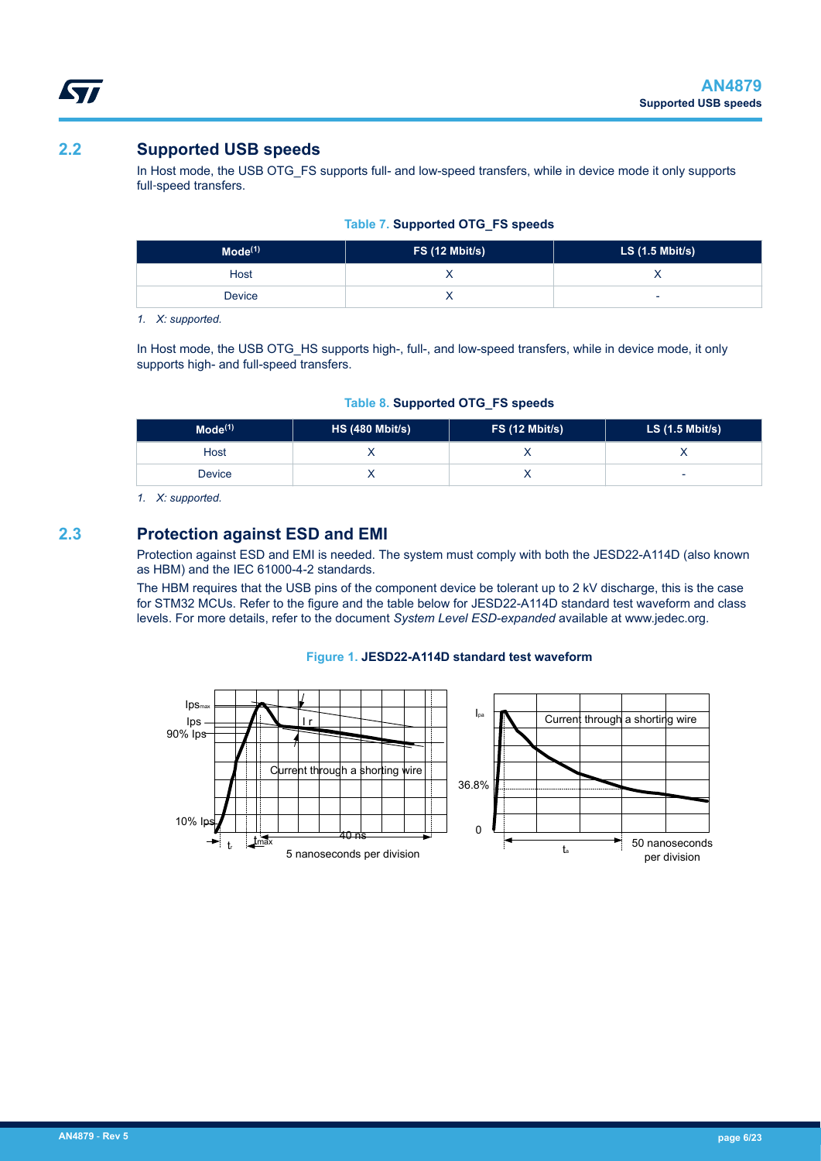<span id="page-5-0"></span>kv/

## **2.2 Supported USB speeds**

In Host mode, the USB OTG\_FS supports full- and low-speed transfers, while in device mode it only supports full-speed transfers.

|  |  |  | <b>Table 7. Supported OTG_FS speeds</b> |
|--|--|--|-----------------------------------------|
|  |  |  |                                         |

| Mode <sup>(1)</sup> | $FS(12$ Mbit/s) | $LS$ (1.5 Mbit/s) |
|---------------------|-----------------|-------------------|
| Host                |                 |                   |
| <b>Device</b>       |                 | -                 |

*1. X: supported.*

In Host mode, the USB OTG\_HS supports high-, full-, and low-speed transfers, while in device mode, it only supports high- and full-speed transfers.

|  |  |  | Table 8. Supported OTG_FS speeds |
|--|--|--|----------------------------------|
|  |  |  |                                  |

| Mode <sup>(1)</sup> | HS (480 Mbit/s) | FS(12 Mbit/s) | LS $(1.5 \text{ Mbit/s})$ |
|---------------------|-----------------|---------------|---------------------------|
| Host                |                 |               |                           |
| Device              |                 |               | -                         |

*1. X: supported.*

## **2.3 Protection against ESD and EMI**

Protection against ESD and EMI is needed. The system must comply with both the JESD22-A114D (also known as HBM) and the IEC 61000-4-2 standards.

The HBM requires that the USB pins of the component device be tolerant up to 2 kV discharge, this is the case for STM32 MCUs. Refer to the figure and the table below for JESD22-A114D standard test waveform and class levels. For more details, refer to the document *System Level ESD-expanded* available at www.jedec.org.

#### **Figure 1. JESD22-A114D standard test waveform**

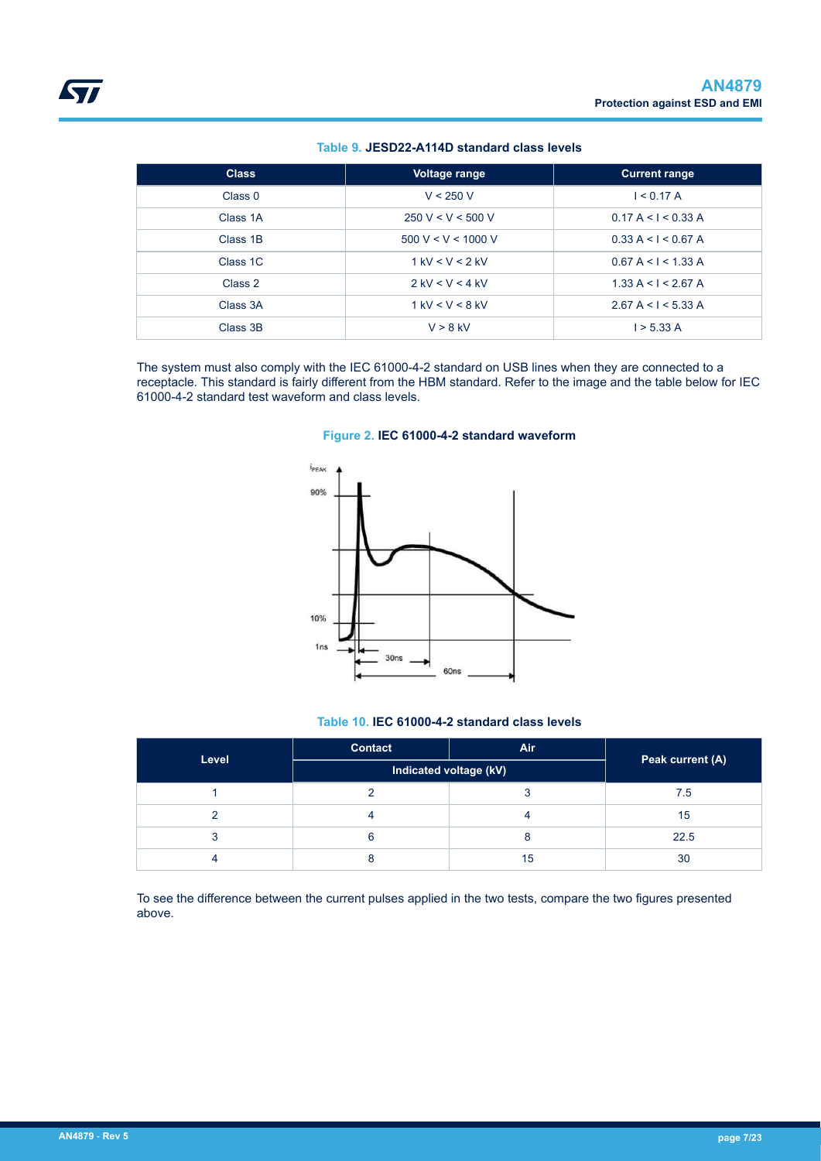#### **Table 9. JESD22-A114D standard class levels**

<span id="page-6-0"></span>

| <b>Class</b>         | Voltage range      | <b>Current range</b> |
|----------------------|--------------------|----------------------|
| Class 0              | V < 250 V          | I < 0.17 A           |
| Class 1A             | 250 V < V < 500 V  | 0.17 A < 1 < 0.33 A  |
| Class 1B             | 500 V < V < 1000 V | 0.33 A < I < 0.67 A  |
| Class <sub>1</sub> C | $1$ kV < V < 2 kV  | 0.67 A < 1 < 1.33 A  |
| Class 2              | $2$ kV < V < 4 kV  | 1.33 A < I < 2.67 A  |
| Class 3A             | $1$ kV < V < 8 kV  | 2.67 A < 1 < 5.33 A  |
| Class 3B             | $V > 8$ kV         | 1 > 5.33 A           |

The system must also comply with the IEC 61000-4-2 standard on USB lines when they are connected to a receptacle. This standard is fairly different from the HBM standard. Refer to the image and the table below for IEC 61000-4-2 standard test waveform and class levels.





#### **Table 10. IEC 61000-4-2 standard class levels**

| Level | <b>Contact</b>         | <b>Air</b> | Peak current (A) |  |
|-------|------------------------|------------|------------------|--|
|       | Indicated voltage (kV) |            |                  |  |
|       |                        |            | 7.5              |  |
|       |                        |            | 15               |  |
|       |                        |            | 22.5             |  |
|       |                        | 15         | 30               |  |

To see the difference between the current pulses applied in the two tests, compare the two figures presented above.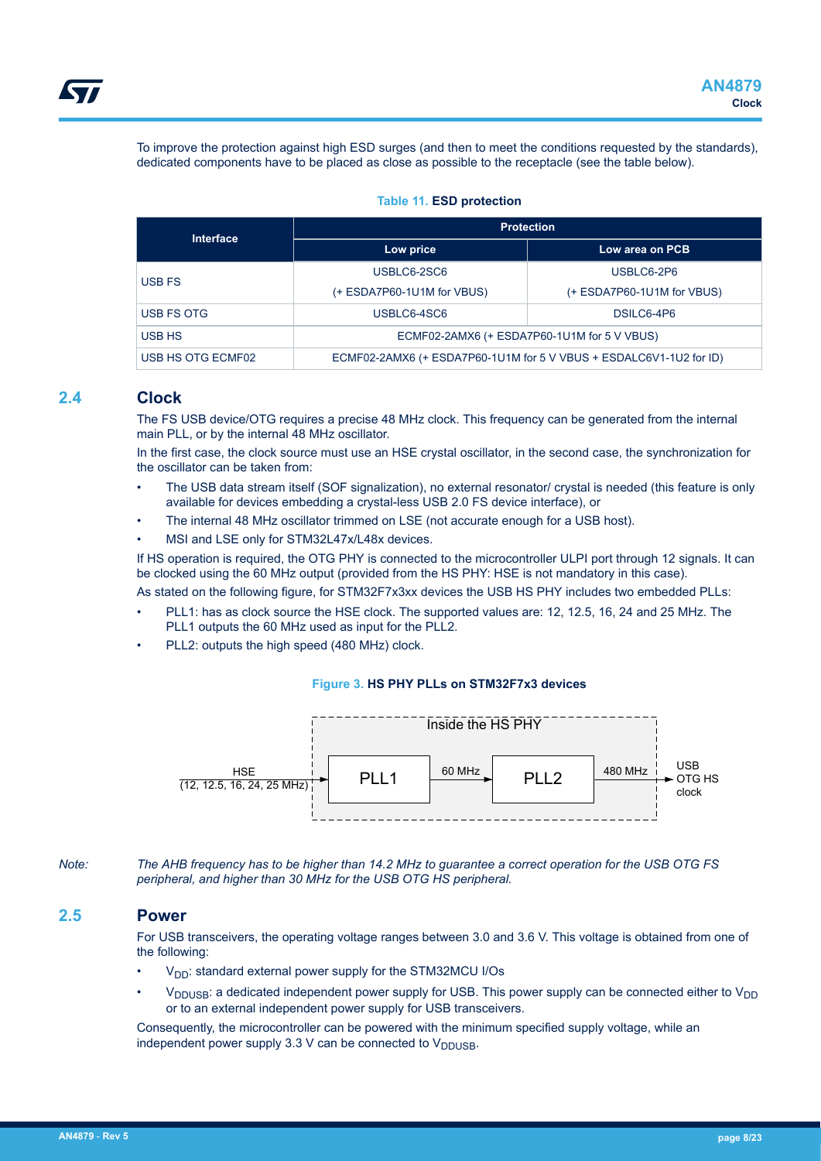<span id="page-7-0"></span>To improve the protection against high ESD surges (and then to meet the conditions requested by the standards), dedicated components have to be placed as close as possible to the receptacle (see the table below).

#### **Table 11. ESD protection**

| <b>Interface</b>  | <b>Protection</b>                                                  |                            |  |
|-------------------|--------------------------------------------------------------------|----------------------------|--|
|                   | Low price                                                          | Low area on PCB            |  |
| USB FS            | USBLC6-2SC6                                                        | USBLC6-2P6                 |  |
|                   | (+ ESDA7P60-1U1M for VBUS)                                         | (+ ESDA7P60-1U1M for VBUS) |  |
| USB FS OTG        | USBLC6-4SC6                                                        | DSILC6-4P6                 |  |
| USB HS            | ECMF02-2AMX6 (+ ESDA7P60-1U1M for 5 V VBUS)                        |                            |  |
| USB HS OTG ECMF02 | ECMF02-2AMX6 (+ ESDA7P60-1U1M for 5 V VBUS + ESDALC6V1-1U2 for ID) |                            |  |

### **2.4 Clock**

The FS USB device/OTG requires a precise 48 MHz clock. This frequency can be generated from the internal main PLL, or by the internal 48 MHz oscillator.

In the first case, the clock source must use an HSE crystal oscillator, in the second case, the synchronization for the oscillator can be taken from:

- The USB data stream itself (SOF signalization), no external resonator/ crystal is needed (this feature is only available for devices embedding a crystal-less USB 2.0 FS device interface), or
- The internal 48 MHz oscillator trimmed on LSE (not accurate enough for a USB host).
- MSI and LSE only for STM32L47x/L48x devices.

If HS operation is required, the OTG PHY is connected to the microcontroller ULPI port through 12 signals. It can be clocked using the 60 MHz output (provided from the HS PHY: HSE is not mandatory in this case).

As stated on the following figure, for STM32F7x3xx devices the USB HS PHY includes two embedded PLLs:

- PLL1: has as clock source the HSE clock. The supported values are: 12, 12.5, 16, 24 and 25 MHz. The PLL1 outputs the 60 MHz used as input for the PLL2.
- PLL2: outputs the high speed (480 MHz) clock.

#### **Figure 3. HS PHY PLLs on STM32F7x3 devices**



*Note: The AHB frequency has to be higher than 14.2 MHz to guarantee a correct operation for the USB OTG FS peripheral, and higher than 30 MHz for the USB OTG HS peripheral.*

### **2.5 Power**

For USB transceivers, the operating voltage ranges between 3.0 and 3.6 V. This voltage is obtained from one of the following:

- V<sub>DD</sub>: standard external power supply for the STM32MCU I/Os
- $V_{\text{DDUSE}}$ : a dedicated independent power supply for USB. This power supply can be connected either to  $V_{\text{DD}}$ or to an external independent power supply for USB transceivers.

Consequently, the microcontroller can be powered with the minimum specified supply voltage, while an independent power supply 3.3 V can be connected to  $V_{\text{DDUSE}}$ .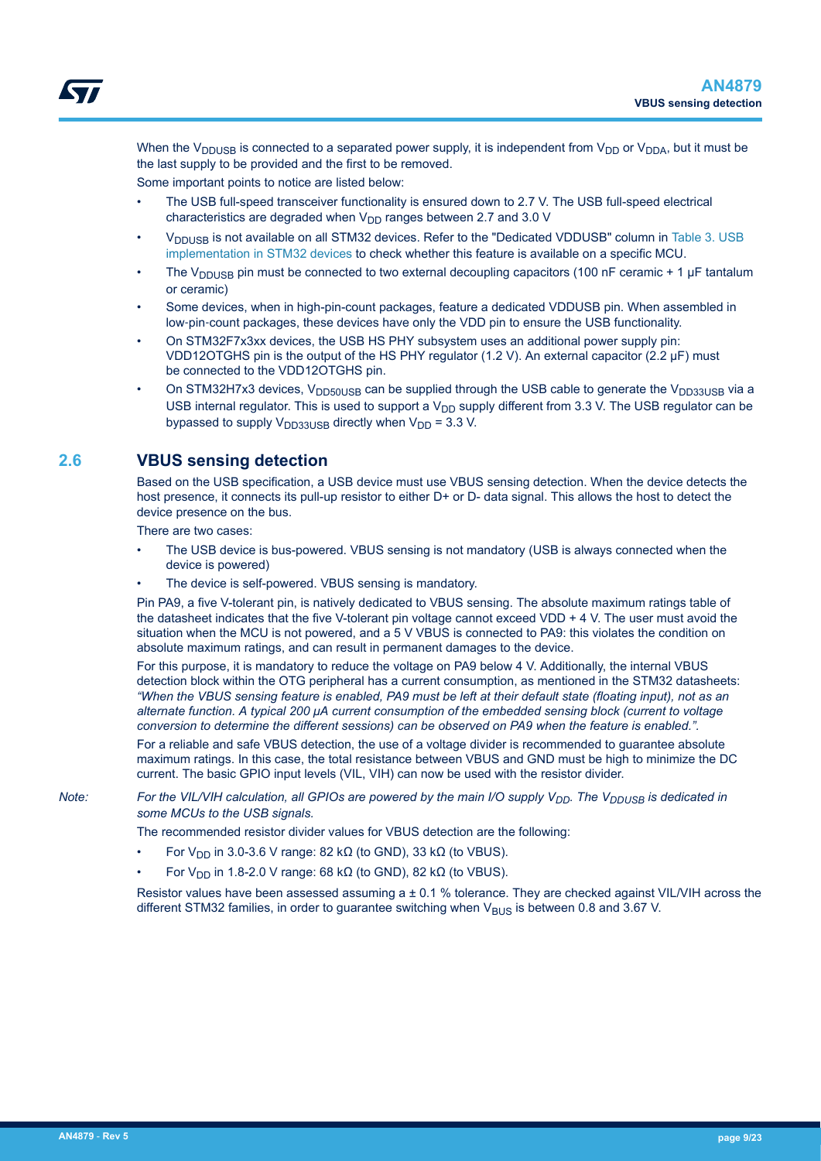<span id="page-8-0"></span>When the V<sub>DDUSB</sub> is connected to a separated power supply, it is independent from V<sub>DD</sub> or V<sub>DDA</sub>, but it must be the last supply to be provided and the first to be removed.

Some important points to notice are listed below:

- The USB full-speed transceiver functionality is ensured down to 2.7 V. The USB full-speed electrical characteristics are degraded when  $V_{DD}$  ranges between 2.7 and 3.0 V
- V<sub>DDUSB</sub> is not available on all STM32 devices. Refer to the "Dedicated VDDUSB" column in [Table 3. USB](#page-2-0) [implementation in STM32 devices](#page-2-0) to check whether this feature is available on a specific MCU.
- The V<sub>DDUSB</sub> pin must be connected to two external decoupling capacitors (100 nF ceramic + 1  $\mu$ F tantalum or ceramic)
- Some devices, when in high-pin-count packages, feature a dedicated VDDUSB pin. When assembled in low-pin-count packages, these devices have only the VDD pin to ensure the USB functionality.
- On STM32F7x3xx devices, the USB HS PHY subsystem uses an additional power supply pin: VDD12OTGHS pin is the output of the HS PHY regulator (1.2 V). An external capacitor (2.2 μF) must be connected to the VDD12OTGHS pin.
- On STM32H7x3 devices,  $V_{\text{DD50USB}}$  can be supplied through the USB cable to generate the  $V_{\text{DD33USB}}$  via a USB internal regulator. This is used to support a  $V_{DD}$  supply different from 3.3 V. The USB regulator can be bypassed to supply  $V_{DD33USB}$  directly when  $V_{DD}$  = 3.3 V.

### **2.6 VBUS sensing detection**

Based on the USB specification, a USB device must use VBUS sensing detection. When the device detects the host presence, it connects its pull-up resistor to either D+ or D- data signal. This allows the host to detect the device presence on the bus.

There are two cases:

- The USB device is bus-powered. VBUS sensing is not mandatory (USB is always connected when the device is powered)
- The device is self-powered. VBUS sensing is mandatory.

Pin PA9, a five V-tolerant pin, is natively dedicated to VBUS sensing. The absolute maximum ratings table of the datasheet indicates that the five V-tolerant pin voltage cannot exceed VDD + 4 V. The user must avoid the situation when the MCU is not powered, and a 5 V VBUS is connected to PA9: this violates the condition on absolute maximum ratings, and can result in permanent damages to the device.

For this purpose, it is mandatory to reduce the voltage on PA9 below 4 V. Additionally, the internal VBUS detection block within the OTG peripheral has a current consumption, as mentioned in the STM32 datasheets: *"When the VBUS sensing feature is enabled, PA9 must be left at their default state (floating input), not as an alternate function. A typical 200 μA current consumption of the embedded sensing block (current to voltage conversion to determine the different sessions) can be observed on PA9 when the feature is enabled.".*

For a reliable and safe VBUS detection, the use of a voltage divider is recommended to guarantee absolute maximum ratings. In this case, the total resistance between VBUS and GND must be high to minimize the DC current. The basic GPIO input levels (VIL, VIH) can now be used with the resistor divider.

*Note:* For the VIL/VIH calculation, all GPIOs are powered by the main I/O supply V<sub>DD</sub>. The V<sub>DDUSB</sub> is dedicated in *some MCUs to the USB signals.*

The recommended resistor divider values for VBUS detection are the following:

- For V<sub>DD</sub> in 3.0-3.6 V range: 82 kΩ (to GND), 33 kΩ (to VBUS).
- For V<sub>DD</sub> in 1.8-2.0 V range: 68 kΩ (to GND), 82 kΩ (to VBUS).

Resistor values have been assessed assuming  $a \pm 0.1$  % tolerance. They are checked against VIL/VIH across the different STM32 families, in order to guarantee switching when  $V_{BUS}$  is between 0.8 and 3.67 V.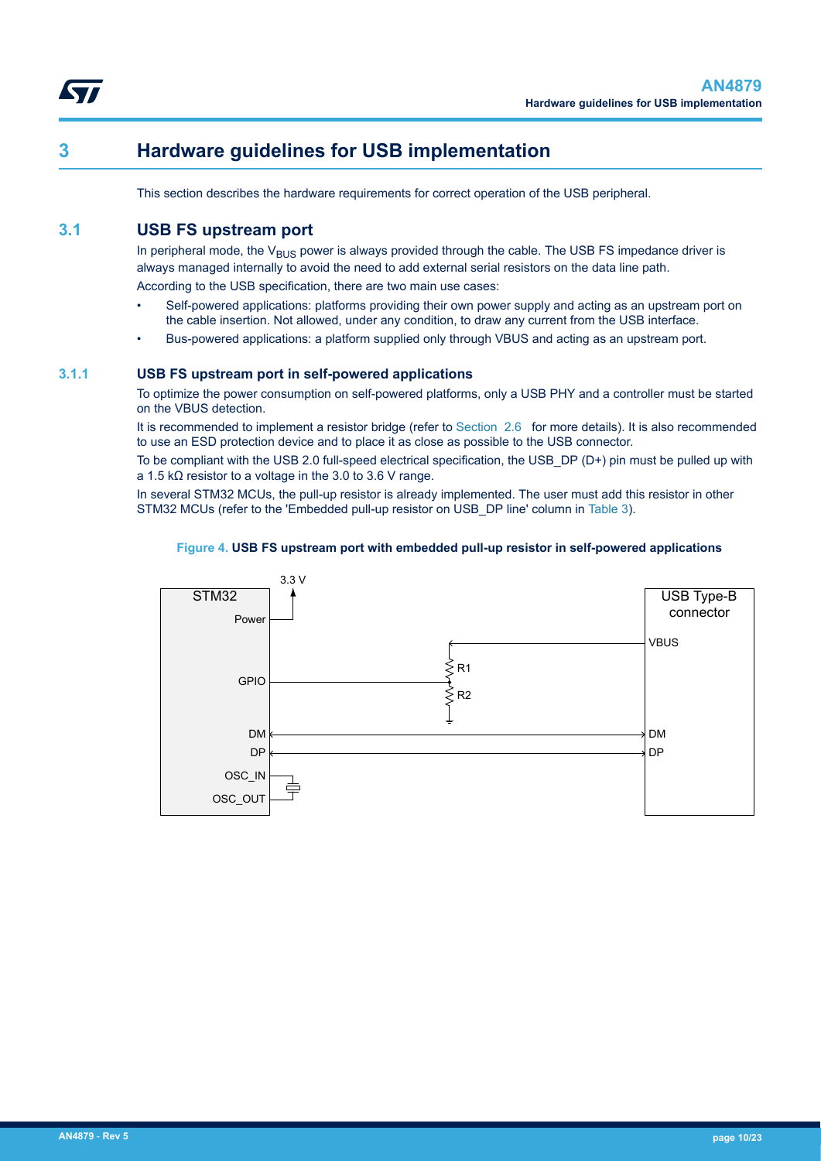<span id="page-9-0"></span>

## **3 Hardware guidelines for USB implementation**

This section describes the hardware requirements for correct operation of the USB peripheral.

## **3.1 USB FS upstream port**

In peripheral mode, the  $V_{BUS}$  power is always provided through the cable. The USB FS impedance driver is always managed internally to avoid the need to add external serial resistors on the data line path. According to the USB specification, there are two main use cases:

- Self-powered applications: platforms providing their own power supply and acting as an upstream port on the cable insertion. Not allowed, under any condition, to draw any current from the USB interface.
- Bus-powered applications: a platform supplied only through VBUS and acting as an upstream port.

#### **3.1.1 USB FS upstream port in self-powered applications**

To optimize the power consumption on self-powered platforms, only a USB PHY and a controller must be started on the VBUS detection.

It is recommended to implement a resistor bridge (refer to [Section 2.6](#page-8-0) for more details). It is also recommended to use an ESD protection device and to place it as close as possible to the USB connector.

To be compliant with the USB 2.0 full-speed electrical specification, the USB\_DP (D+) pin must be pulled up with a 1.5 kΩ resistor to a voltage in the 3.0 to 3.6 V range.

In several STM32 MCUs, the pull-up resistor is already implemented. The user must add this resistor in other STM32 MCUs (refer to the 'Embedded pull-up resistor on USB\_DP line' column in [Table 3\)](#page-2-0).

#### **Figure 4. USB FS upstream port with embedded pull-up resistor in self-powered applications**

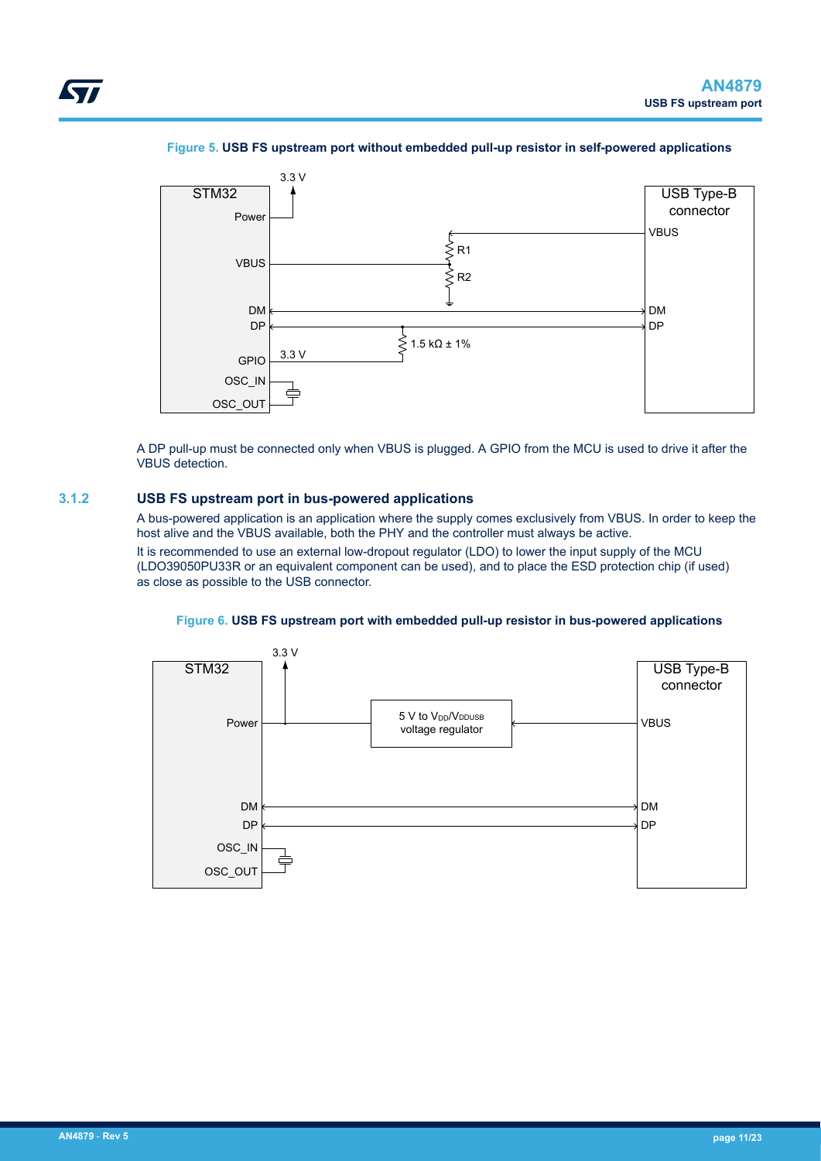<span id="page-10-0"></span>

#### **Figure 5. USB FS upstream port without embedded pull-up resistor in self-powered applications**



A DP pull-up must be connected only when VBUS is plugged. A GPIO from the MCU is used to drive it after the VBUS detection.

#### **3.1.2 USB FS upstream port in bus-powered applications**

A bus-powered application is an application where the supply comes exclusively from VBUS. In order to keep the host alive and the VBUS available, both the PHY and the controller must always be active.

It is recommended to use an external low-dropout regulator (LDO) to lower the input supply of the MCU (LDO39050PU33R or an equivalent component can be used), and to place the ESD protection chip (if used) as close as possible to the USB connector.



#### **Figure 6. USB FS upstream port with embedded pull-up resistor in bus-powered applications**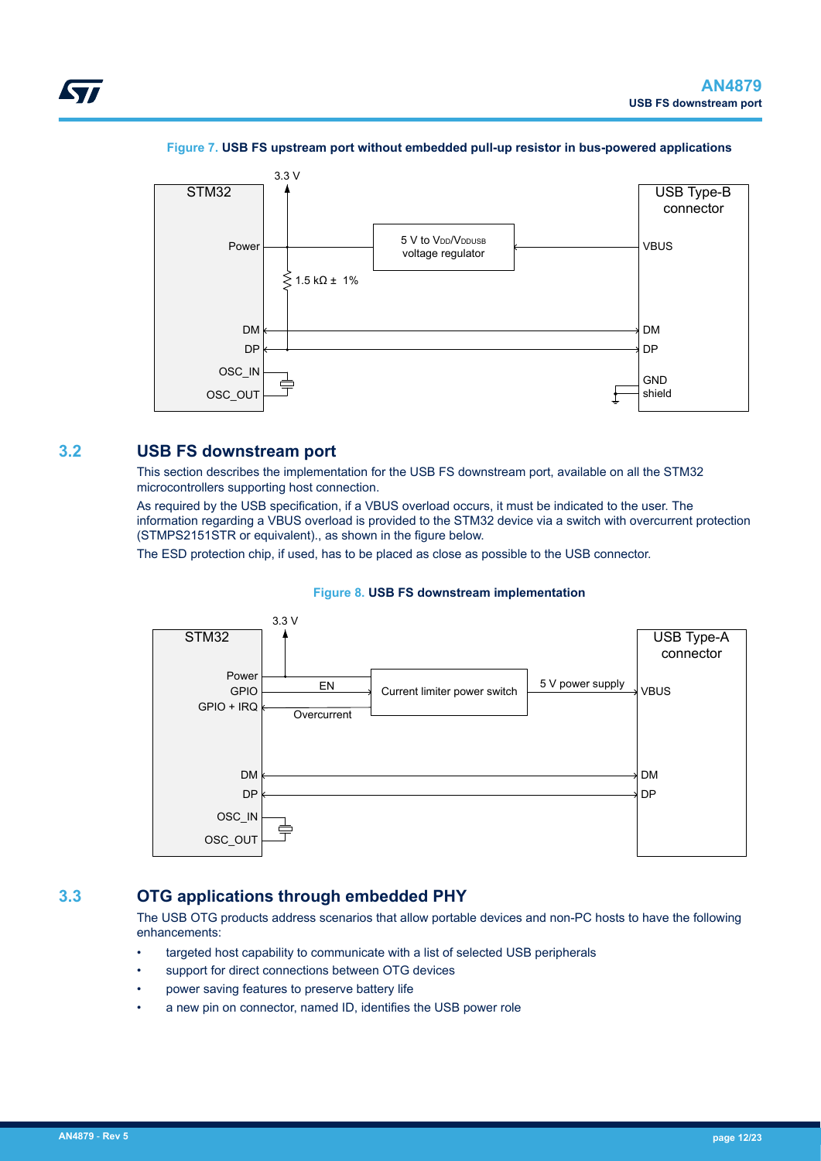<span id="page-11-0"></span>

#### **Figure 7. USB FS upstream port without embedded pull-up resistor in bus-powered applications**

### **3.2 USB FS downstream port**

This section describes the implementation for the USB FS downstream port, available on all the STM32 microcontrollers supporting host connection.

As required by the USB specification, if a VBUS overload occurs, it must be indicated to the user. The information regarding a VBUS overload is provided to the STM32 device via a switch with overcurrent protection (STMPS2151STR or equivalent)., as shown in the figure below.

The ESD protection chip, if used, has to be placed as close as possible to the USB connector.



#### **Figure 8. USB FS downstream implementation**

## **3.3 OTG applications through embedded PHY**

The USB OTG products address scenarios that allow portable devices and non-PC hosts to have the following enhancements:

- targeted host capability to communicate with a list of selected USB peripherals
- support for direct connections between OTG devices
- power saving features to preserve battery life
- a new pin on connector, named ID, identifies the USB power role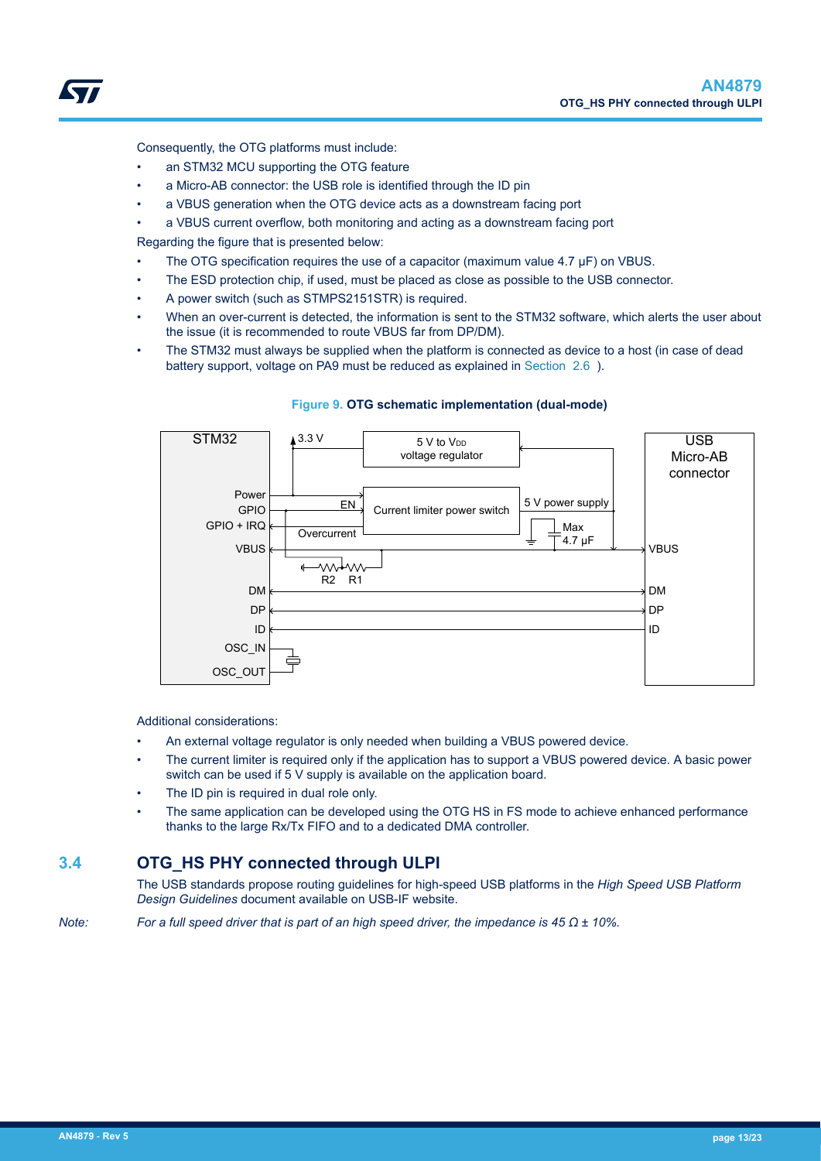<span id="page-12-0"></span>

Consequently, the OTG platforms must include:

- an STM32 MCU supporting the OTG feature
- a Micro-AB connector: the USB role is identified through the ID pin
- a VBUS generation when the OTG device acts as a downstream facing port
- a VBUS current overflow, both monitoring and acting as a downstream facing port

Regarding the figure that is presented below:

- The OTG specification requires the use of a capacitor (maximum value 4.7 μF) on VBUS.
- The ESD protection chip, if used, must be placed as close as possible to the USB connector.
- A power switch (such as STMPS2151STR) is required.
- When an over-current is detected, the information is sent to the STM32 software, which alerts the user about the issue (it is recommended to route VBUS far from DP/DM).
- The STM32 must always be supplied when the platform is connected as device to a host (in case of dead battery support, voltage on PA9 must be reduced as explained in [Section 2.6 \)](#page-8-0).



#### **Figure 9. OTG schematic implementation (dual-mode)**

Additional considerations:

- An external voltage regulator is only needed when building a VBUS powered device.
- The current limiter is required only if the application has to support a VBUS powered device. A basic power switch can be used if 5 V supply is available on the application board.
- The ID pin is required in dual role only.
- The same application can be developed using the OTG HS in FS mode to achieve enhanced performance thanks to the large Rx/Tx FIFO and to a dedicated DMA controller.

### **3.4 OTG\_HS PHY connected through ULPI**

The USB standards propose routing guidelines for high-speed USB platforms in the *High Speed USB Platform Design Guidelines* document available on USB-IF website.

*Note: For a full speed driver that is part of an high speed driver, the impedance is 45 Ω ± 10%.*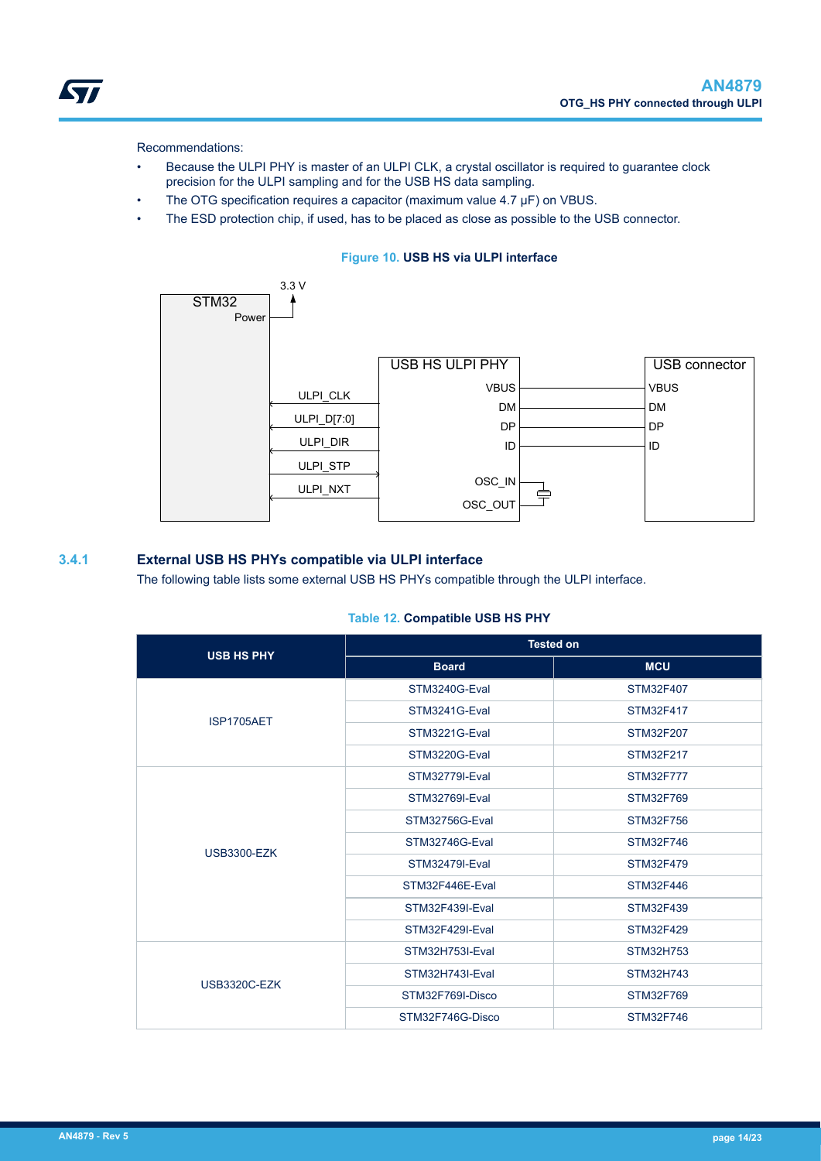

<span id="page-13-0"></span>*STI* 

- Because the ULPI PHY is master of an ULPI CLK, a crystal oscillator is required to guarantee clock precision for the ULPI sampling and for the USB HS data sampling.
- The OTG specification requires a capacitor (maximum value 4.7 μF) on VBUS.
- The ESD protection chip, if used, has to be placed as close as possible to the USB connector.

#### **Figure 10. USB HS via ULPI interface**



#### **3.4.1 External USB HS PHYs compatible via ULPI interface**

The following table lists some external USB HS PHYs compatible through the ULPI interface.

#### **Table 12. Compatible USB HS PHY**

| <b>USB HS PHY</b>  | <b>Tested on</b>      |                  |  |
|--------------------|-----------------------|------------------|--|
|                    | <b>Board</b>          | <b>MCU</b>       |  |
|                    | STM3240G-Eval         | STM32F407        |  |
| ISP1705AET         | STM3241G-Eval         | STM32F417        |  |
|                    | STM3221G-Eval         | STM32F207        |  |
|                    | STM3220G-Eval         | STM32F217        |  |
|                    | <b>STM32779I-Eval</b> | STM32F777        |  |
|                    | STM32769I-Eval        | STM32F769        |  |
|                    | STM32756G-Eval        | STM32F756        |  |
| <b>USB3300-EZK</b> | STM32746G-Eval        | STM32F746        |  |
|                    | STM32479I-Eval        | <b>STM32F479</b> |  |
|                    | STM32F446E-Eval       | STM32F446        |  |
|                    | STM32F439I-Eval       | STM32F439        |  |
|                    | STM32F429I-Eval       | <b>STM32F429</b> |  |
|                    | STM32H753I-Eval       | <b>STM32H753</b> |  |
| USB3320C-EZK       | STM32H743I-Eval       | STM32H743        |  |
|                    | STM32F769I-Disco      | STM32F769        |  |
|                    | STM32F746G-Disco      | STM32F746        |  |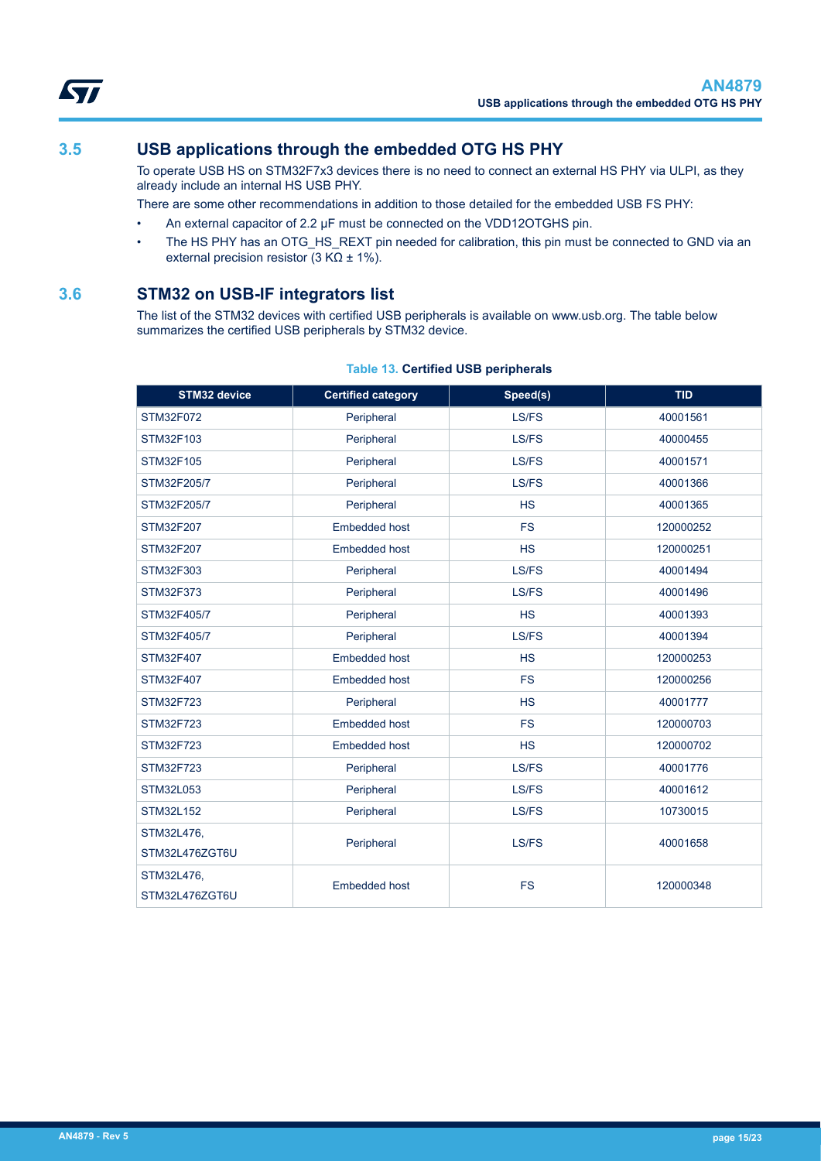<span id="page-14-0"></span>

## **3.5 USB applications through the embedded OTG HS PHY**

To operate USB HS on STM32F7x3 devices there is no need to connect an external HS PHY via ULPI, as they already include an internal HS USB PHY.

There are some other recommendations in addition to those detailed for the embedded USB FS PHY:

- An external capacitor of 2.2 μF must be connected on the VDD12OTGHS pin.
- The HS PHY has an OTG\_HS\_REXT pin needed for calibration, this pin must be connected to GND via an external precision resistor  $(3 K\Omega \pm 1\%)$ .

### **3.6 STM32 on USB-IF integrators list**

The list of the STM32 devices with certified USB peripherals is available on www.usb.org. The table below summarizes the certified USB peripherals by STM32 device.

#### **Table 13. Certified USB peripherals**

| STM32 device     | <b>Certified category</b> | Speed(s)  | <b>TID</b> |
|------------------|---------------------------|-----------|------------|
| <b>STM32F072</b> | Peripheral                | LS/FS     | 40001561   |
| STM32F103        | Peripheral                | LS/FS     | 40000455   |
| STM32F105        | Peripheral                | LS/FS     | 40001571   |
| STM32F205/7      | Peripheral                | LS/FS     | 40001366   |
| STM32F205/7      | Peripheral                | <b>HS</b> | 40001365   |
| STM32F207        | <b>Embedded host</b>      | <b>FS</b> | 120000252  |
| STM32F207        | Embedded host             | <b>HS</b> | 120000251  |
| STM32F303        | Peripheral                | LS/FS     | 40001494   |
| STM32F373        | Peripheral                | LS/FS     | 40001496   |
| STM32F405/7      | Peripheral                | <b>HS</b> | 40001393   |
| STM32F405/7      | Peripheral                | LS/FS     | 40001394   |
| STM32F407        | <b>Embedded host</b>      | <b>HS</b> | 120000253  |
| STM32F407        | <b>Embedded host</b>      | <b>FS</b> | 120000256  |
| <b>STM32F723</b> | Peripheral                | <b>HS</b> | 40001777   |
| STM32F723        | Embedded host             | <b>FS</b> | 120000703  |
| STM32F723        | Embedded host             | HS        | 120000702  |
| STM32F723        | Peripheral                | LS/FS     | 40001776   |
| STM32L053        | Peripheral                | LS/FS     | 40001612   |
| STM32L152        | Peripheral                | LS/FS     | 10730015   |
| STM32L476,       | Peripheral                | LS/FS     | 40001658   |
| STM32L476ZGT6U   |                           |           |            |
| STM32L476,       | <b>Embedded host</b>      | <b>FS</b> | 120000348  |
| STM32L476ZGT6U   |                           |           |            |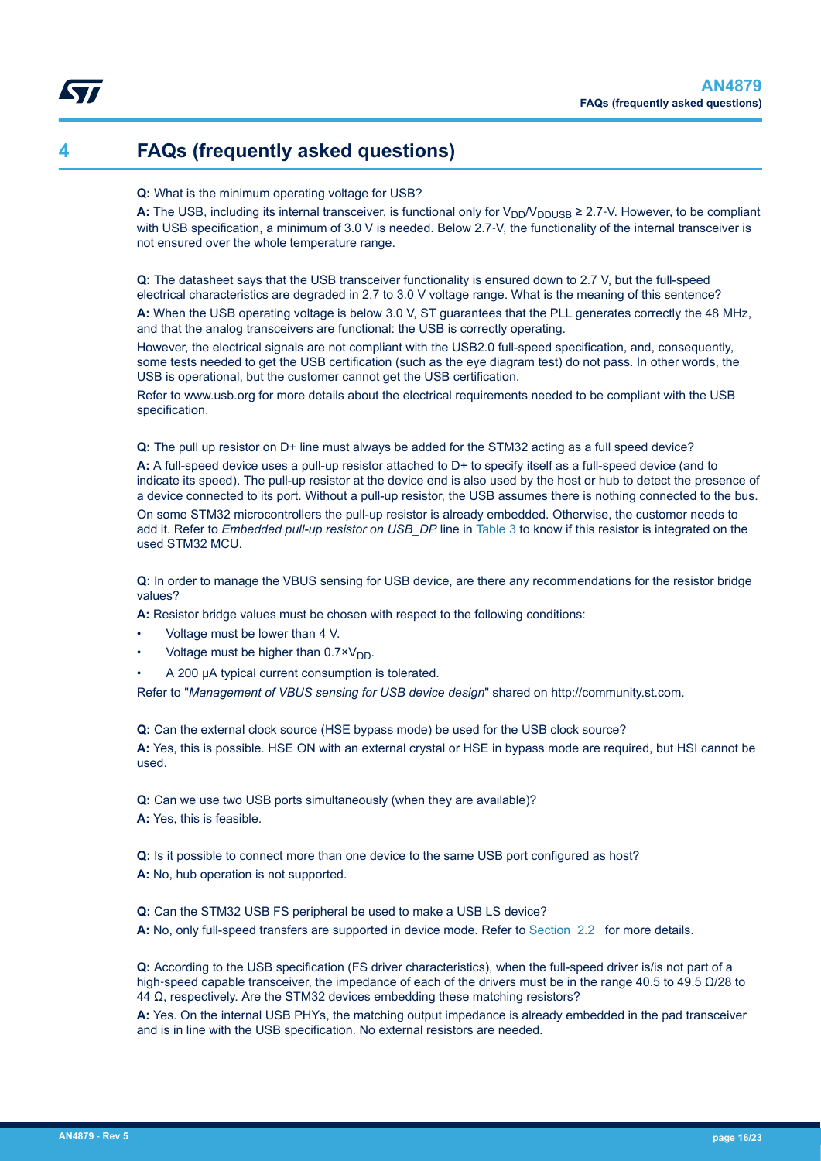## <span id="page-15-0"></span>**4 FAQs (frequently asked questions)**

#### **Q:** What is the minimum operating voltage for USB?

**A:** The USB, including its internal transceiver, is functional only for  $V_{DD}/V_{DDUSB} \ge 2.7$ -V. However, to be compliant with USB specification, a minimum of 3.0 V is needed. Below 2.7-V, the functionality of the internal transceiver is not ensured over the whole temperature range.

**Q:** The datasheet says that the USB transceiver functionality is ensured down to 2.7 V, but the full-speed electrical characteristics are degraded in 2.7 to 3.0 V voltage range. What is the meaning of this sentence? **A:** When the USB operating voltage is below 3.0 V, ST guarantees that the PLL generates correctly the 48 MHz, and that the analog transceivers are functional: the USB is correctly operating.

However, the electrical signals are not compliant with the USB2.0 full-speed specification, and, consequently, some tests needed to get the USB certification (such as the eye diagram test) do not pass. In other words, the USB is operational, but the customer cannot get the USB certification.

Refer to www.usb.org for more details about the electrical requirements needed to be compliant with the USB specification.

**Q:** The pull up resistor on D+ line must always be added for the STM32 acting as a full speed device?

**A:** A full-speed device uses a pull-up resistor attached to D+ to specify itself as a full-speed device (and to indicate its speed). The pull-up resistor at the device end is also used by the host or hub to detect the presence of a device connected to its port. Without a pull-up resistor, the USB assumes there is nothing connected to the bus. On some STM32 microcontrollers the pull-up resistor is already embedded. Otherwise, the customer needs to add it. Refer to *Embedded pull-up resistor on USB\_DP* line in [Table 3](#page-2-0) to know if this resistor is integrated on the used STM32 MCU.

**Q:** In order to manage the VBUS sensing for USB device, are there any recommendations for the resistor bridge values?

**A:** Resistor bridge values must be chosen with respect to the following conditions:

- Voltage must be lower than 4 V.
- Voltage must be higher than  $0.7 \times V_{DD}$ .
- A 200 μA typical current consumption is tolerated.

Refer to "*Management of VBUS sensing for USB device design*" shared on http://community.st.com.

**Q:** Can the external clock source (HSE bypass mode) be used for the USB clock source?

**A:** Yes, this is possible. HSE ON with an external crystal or HSE in bypass mode are required, but HSI cannot be used.

**Q:** Can we use two USB ports simultaneously (when they are available)?

**A:** Yes, this is feasible.

**Q:** Is it possible to connect more than one device to the same USB port configured as host? **A:** No, hub operation is not supported.

**Q:** Can the STM32 USB FS peripheral be used to make a USB LS device? **A:** No, only full-speed transfers are supported in device mode. Refer to [Section 2.2](#page-5-0) for more details.

**Q:** According to the USB specification (FS driver characteristics), when the full-speed driver is/is not part of a high‑speed capable transceiver, the impedance of each of the drivers must be in the range 40.5 to 49.5 Ω/28 to 44 Ω, respectively. Are the STM32 devices embedding these matching resistors?

**A:** Yes. On the internal USB PHYs, the matching output impedance is already embedded in the pad transceiver and is in line with the USB specification. No external resistors are needed.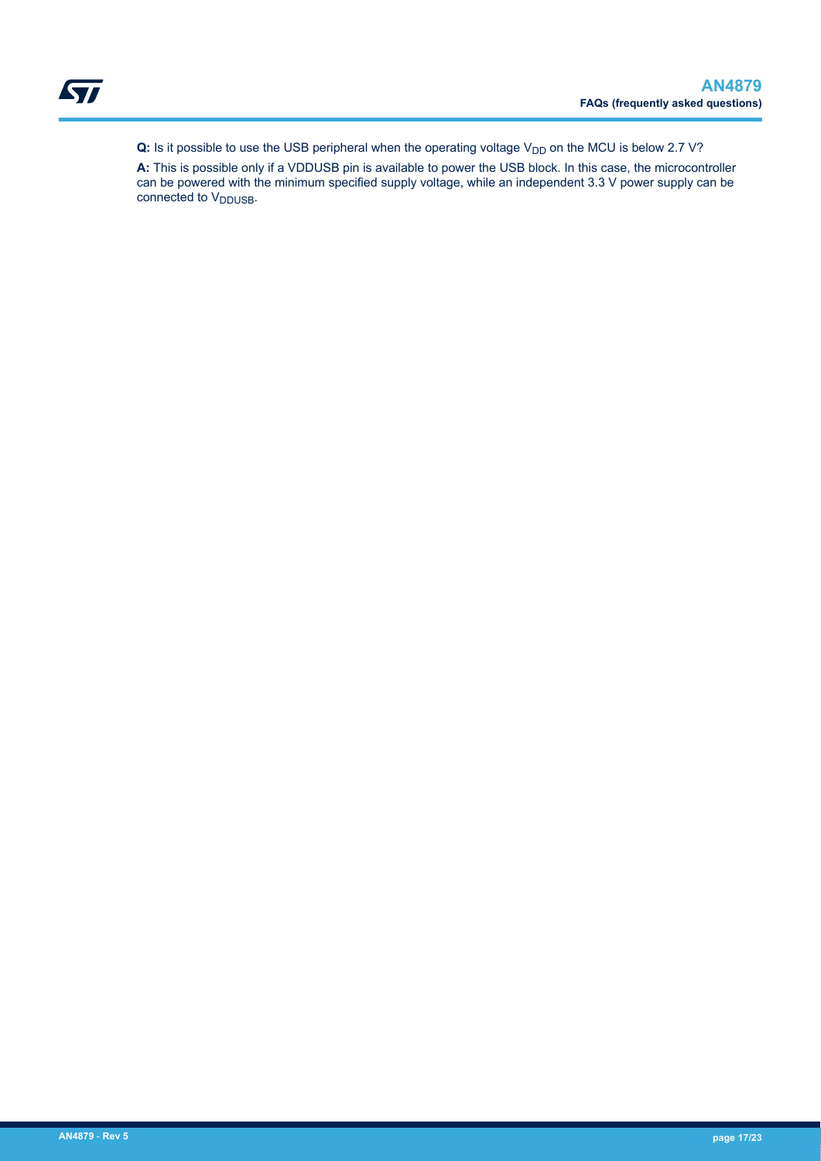**Q:** Is it possible to use the USB peripheral when the operating voltage V<sub>DD</sub> on the MCU is below 2.7 V?

**A:** This is possible only if a VDDUSB pin is available to power the USB block. In this case, the microcontroller can be powered with the minimum specified supply voltage, while an independent 3.3 V power supply can be connected to V<sub>DDUSB</sub>.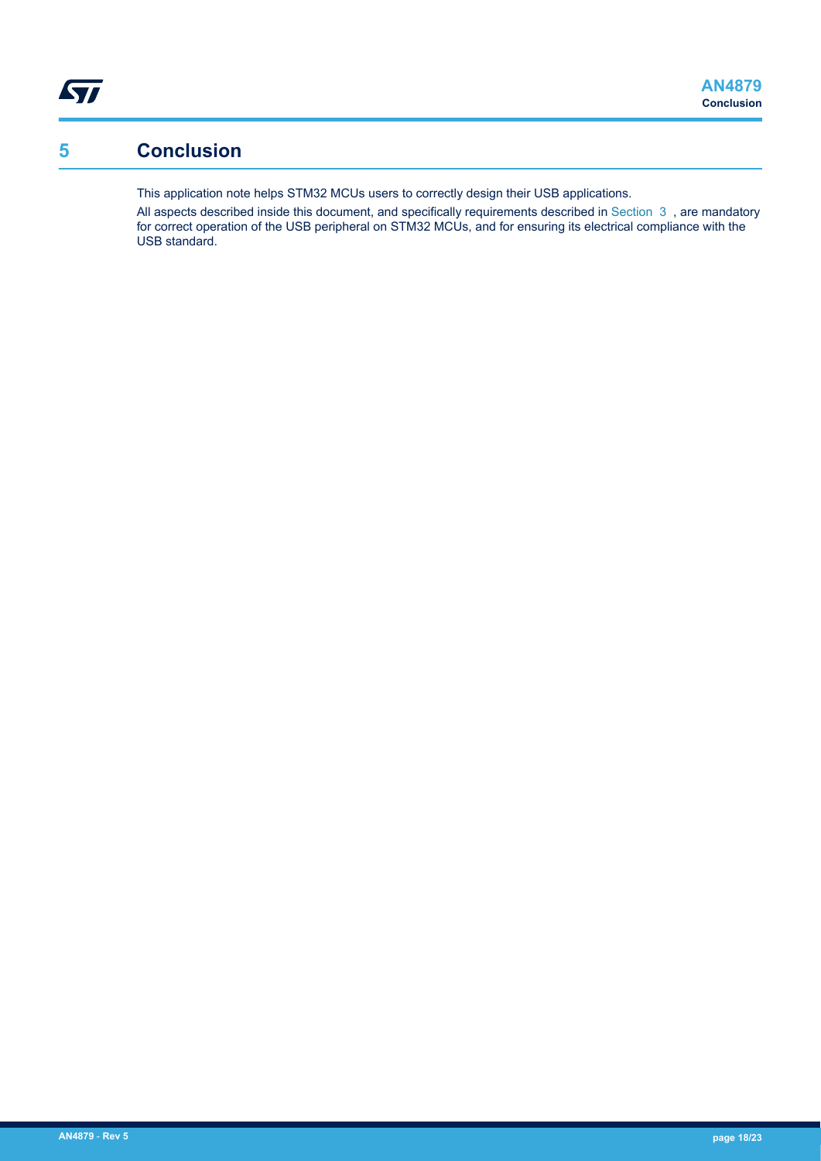## <span id="page-17-0"></span>**5 Conclusion**

This application note helps STM32 MCUs users to correctly design their USB applications.

All aspects described inside this document, and specifically requirements described in Section 3, are mandatory for correct operation of the USB peripheral on STM32 MCUs, and for ensuring its electrical compliance with the USB standard.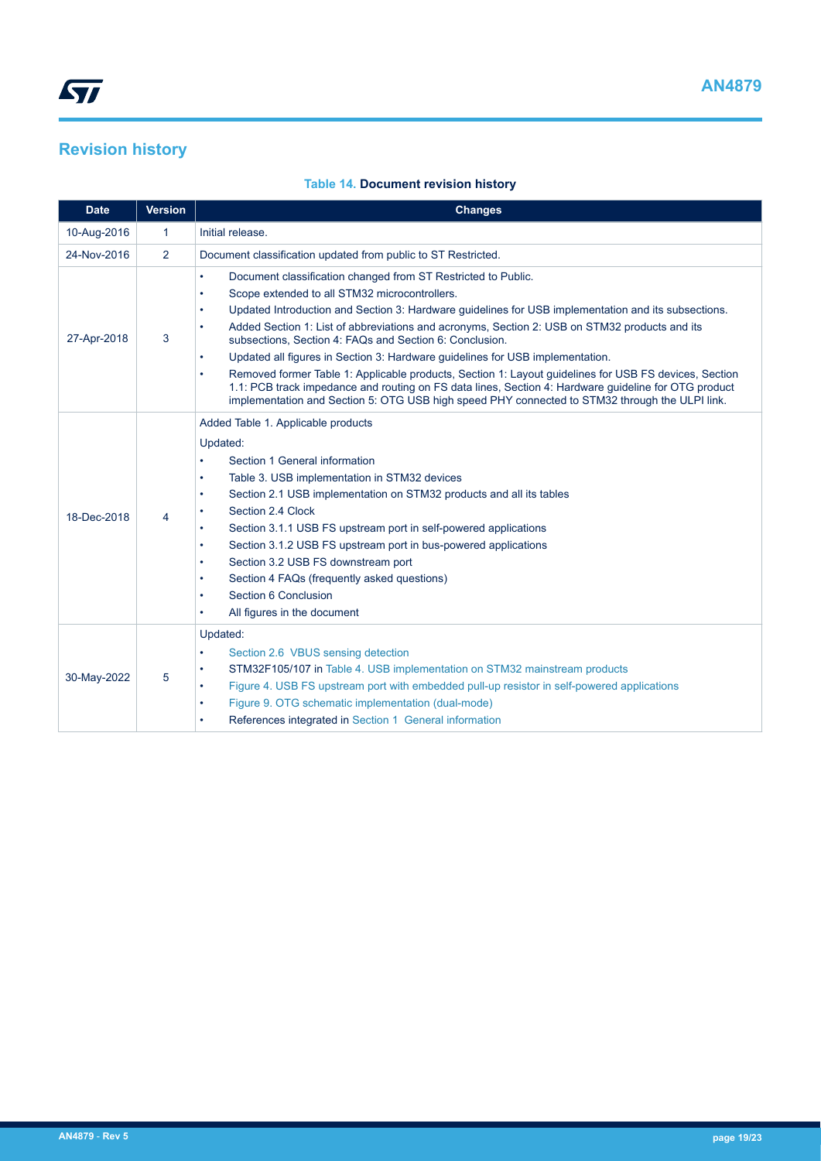## <span id="page-18-0"></span>**Revision history**

| <b>Table 14. Document revision history</b> |
|--------------------------------------------|
|--------------------------------------------|

| <b>Date</b> | <b>Version</b> | <b>Changes</b>                                                                                                                                                                                                                                                                                                                                                                                                                                                                                                                                                                                                                                                                                                                                                                                                                              |
|-------------|----------------|---------------------------------------------------------------------------------------------------------------------------------------------------------------------------------------------------------------------------------------------------------------------------------------------------------------------------------------------------------------------------------------------------------------------------------------------------------------------------------------------------------------------------------------------------------------------------------------------------------------------------------------------------------------------------------------------------------------------------------------------------------------------------------------------------------------------------------------------|
| 10-Aug-2016 | $\mathbf{1}$   | Initial release.                                                                                                                                                                                                                                                                                                                                                                                                                                                                                                                                                                                                                                                                                                                                                                                                                            |
| 24-Nov-2016 | 2              | Document classification updated from public to ST Restricted.                                                                                                                                                                                                                                                                                                                                                                                                                                                                                                                                                                                                                                                                                                                                                                               |
| 27-Apr-2018 | 3              | Document classification changed from ST Restricted to Public.<br>$\bullet$<br>Scope extended to all STM32 microcontrollers.<br>٠<br>Updated Introduction and Section 3: Hardware guidelines for USB implementation and its subsections.<br>٠<br>Added Section 1: List of abbreviations and acronyms, Section 2: USB on STM32 products and its<br>$\bullet$<br>subsections. Section 4: FAQs and Section 6: Conclusion.<br>Updated all figures in Section 3: Hardware guidelines for USB implementation.<br>$\bullet$<br>Removed former Table 1: Applicable products, Section 1: Layout guidelines for USB FS devices, Section<br>٠<br>1.1: PCB track impedance and routing on FS data lines, Section 4: Hardware guideline for OTG product<br>implementation and Section 5: OTG USB high speed PHY connected to STM32 through the ULPI link. |
| 18-Dec-2018 | 4              | Added Table 1. Applicable products<br>Updated:<br>Section 1 General information<br>٠<br>Table 3. USB implementation in STM32 devices<br>$\bullet$<br>Section 2.1 USB implementation on STM32 products and all its tables<br>٠<br>Section 2.4 Clock<br>٠<br>Section 3.1.1 USB FS upstream port in self-powered applications<br>$\bullet$<br>Section 3.1.2 USB FS upstream port in bus-powered applications<br>٠<br>Section 3.2 USB FS downstream port<br>٠<br>Section 4 FAQs (frequently asked questions)<br>٠<br>Section 6 Conclusion<br>All figures in the document<br>٠                                                                                                                                                                                                                                                                   |
| 30-May-2022 | 5              | Updated:<br>Section 2.6 VBUS sensing detection<br>$\bullet$<br>STM32F105/107 in Table 4. USB implementation on STM32 mainstream products<br>٠<br>Figure 4. USB FS upstream port with embedded pull-up resistor in self-powered applications<br>٠<br>Figure 9. OTG schematic implementation (dual-mode)<br>٠<br>References integrated in Section 1 General information<br>٠                                                                                                                                                                                                                                                                                                                                                                                                                                                                  |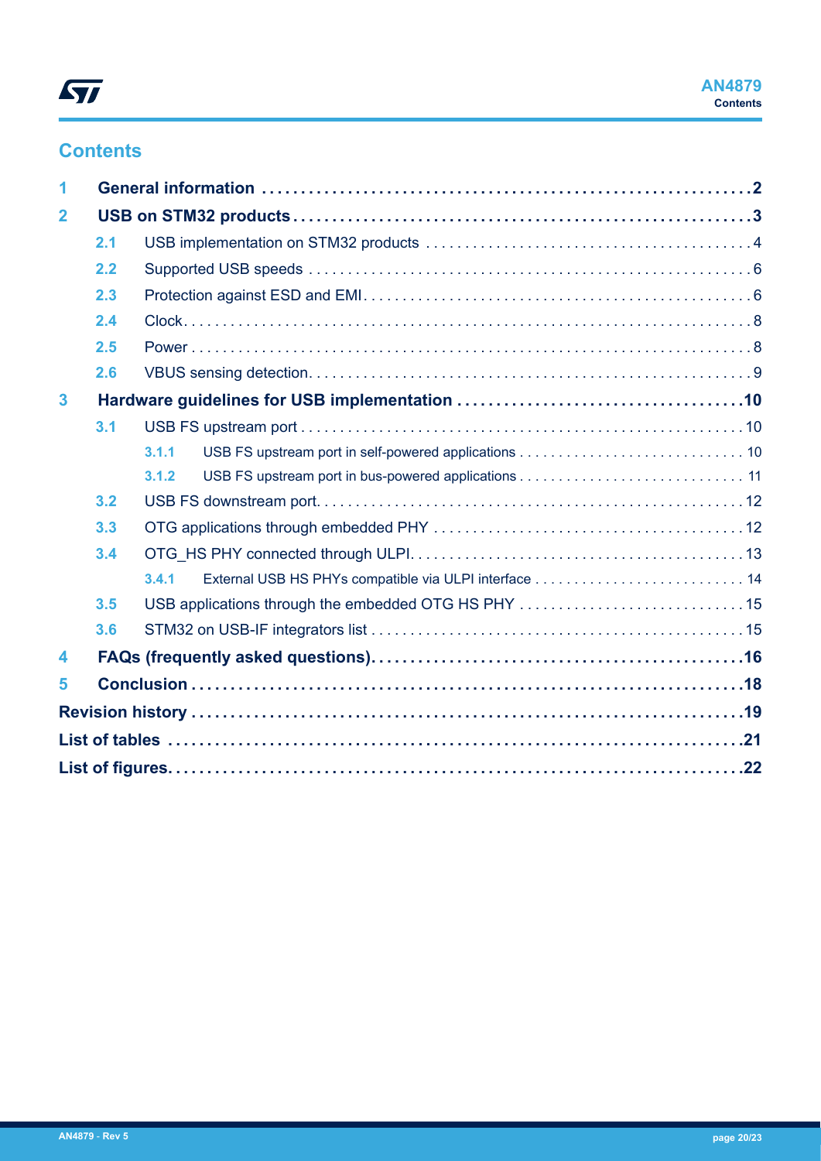## **Contents**

| 1            |     |       |  |
|--------------|-----|-------|--|
| $\mathbf{2}$ |     |       |  |
|              | 2.1 |       |  |
|              | 2.2 |       |  |
|              | 2.3 |       |  |
|              | 2.4 |       |  |
|              | 2.5 |       |  |
|              | 2.6 |       |  |
| 3            |     |       |  |
|              | 3.1 |       |  |
|              |     | 3.1.1 |  |
|              |     | 3.1.2 |  |
|              | 3.2 |       |  |
|              | 3.3 |       |  |
|              | 3.4 |       |  |
|              |     | 3.4.1 |  |
|              | 3.5 |       |  |
|              | 3.6 |       |  |
| 4            |     |       |  |
| 5            |     |       |  |
|              |     |       |  |
|              |     |       |  |
|              |     |       |  |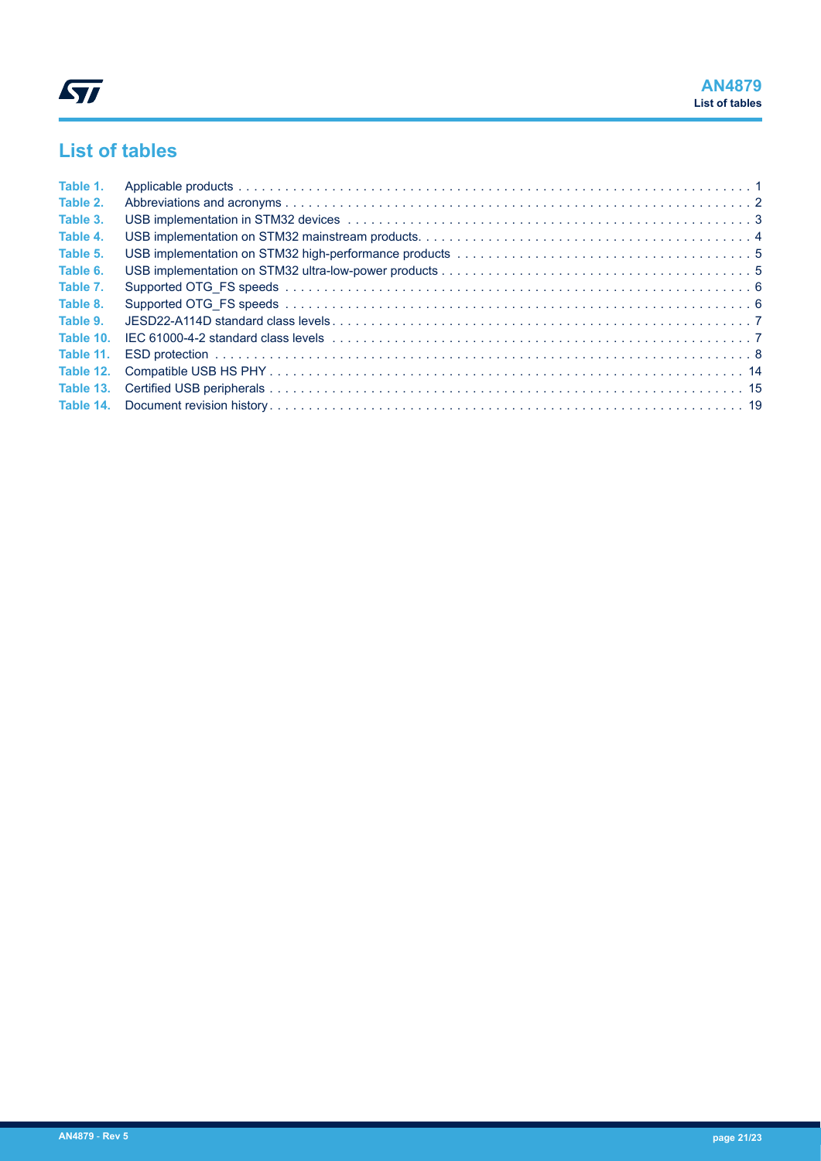## <span id="page-20-0"></span>**List of tables**

| Table 1.  |  |
|-----------|--|
| Table 2.  |  |
| Table 3.  |  |
| Table 4.  |  |
| Table 5.  |  |
| Table 6.  |  |
| Table 7.  |  |
| Table 8.  |  |
| Table 9.  |  |
| Table 10. |  |
| Table 11. |  |
| Table 12. |  |
| Table 13. |  |
|           |  |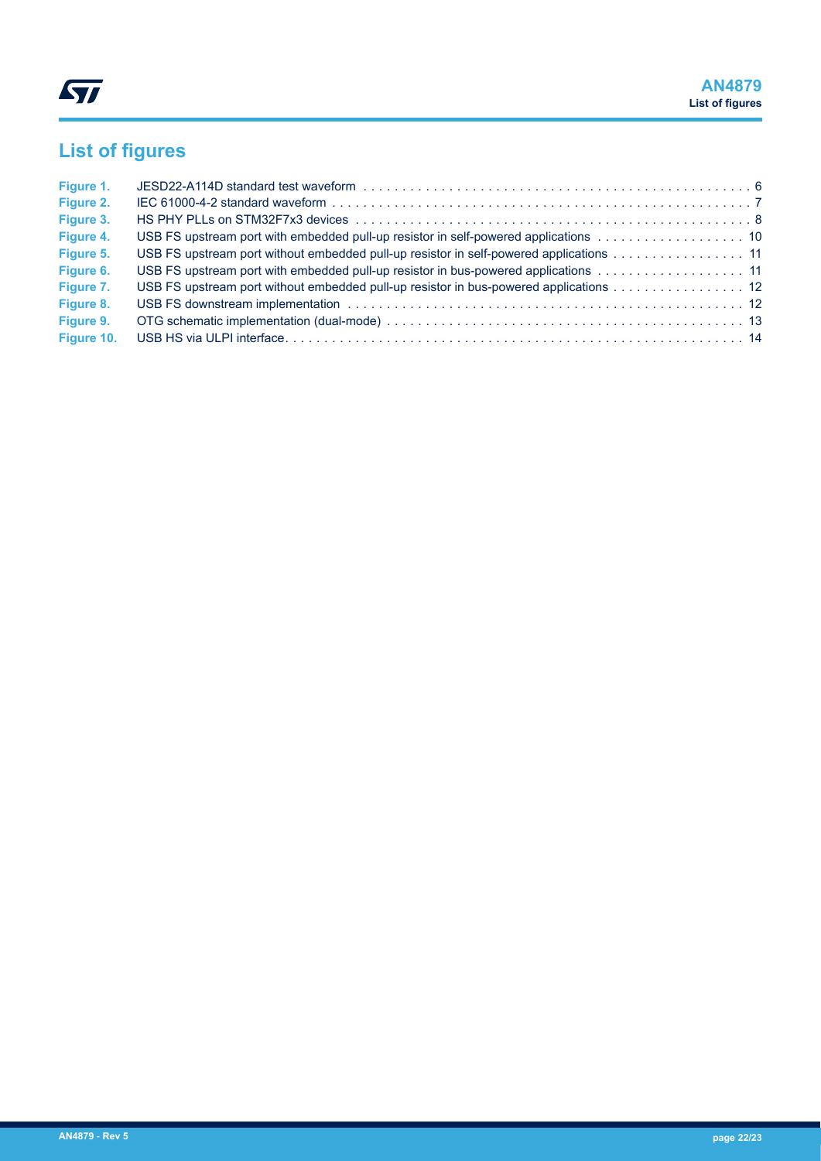# <span id="page-21-0"></span>**List of figures**

| Figure 1.  |                                                                                        |  |
|------------|----------------------------------------------------------------------------------------|--|
| Figure 2.  |                                                                                        |  |
| Figure 3.  |                                                                                        |  |
| Figure 4.  | USB FS upstream port with embedded pull-up resistor in self-powered applications 10    |  |
| Figure 5.  | USB FS upstream port without embedded pull-up resistor in self-powered applications 11 |  |
| Figure 6.  | USB FS upstream port with embedded pull-up resistor in bus-powered applications 11     |  |
| Figure 7.  | USB FS upstream port without embedded pull-up resistor in bus-powered applications 12  |  |
| Figure 8.  |                                                                                        |  |
| Figure 9.  |                                                                                        |  |
| Figure 10. |                                                                                        |  |